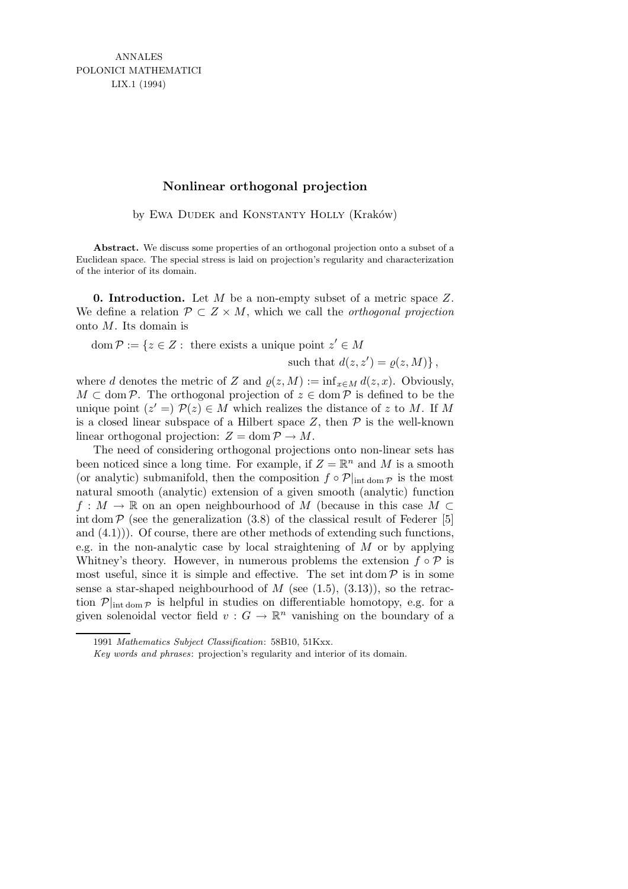ANNALES POLONICI MATHEMATICI LIX.1 (1994)

#### **Nonlinear orthogonal projection**

by EWA DUDEK and KONSTANTY HOLLY (Kraków)

Abstract. We discuss some properties of an orthogonal projection onto a subset of a Euclidean space. The special stress is laid on projection's regularity and characterization of the interior of its domain.

**0. Introduction.** Let M be a non-empty subset of a metric space  $Z$ . We define a relation  $\mathcal{P} \subset Z \times M$ , which we call the *orthogonal projection* onto M. Its domain is

 $dom \mathcal{P} := \{ z \in Z : \text{ there exists a unique point } z' \in M \}$ 

such that 
$$
d(z, z') = \varrho(z, M)
$$
,

where d denotes the metric of Z and  $\rho(z,M) := \inf_{x \in M} d(z,x)$ . Obviously,  $M \subset \text{dom } \mathcal{P}$ . The orthogonal projection of  $z \in \text{dom } \mathcal{P}$  is defined to be the unique point  $(z' =)$   $\mathcal{P}(z) \in M$  which realizes the distance of z to M. If M is a closed linear subspace of a Hilbert space  $Z$ , then  $\mathcal P$  is the well-known linear orthogonal projection:  $Z = \text{dom } P \to M$ .

The need of considering orthogonal projections onto non-linear sets has been noticed since a long time. For example, if  $Z = \mathbb{R}^n$  and M is a smooth (or analytic) submanifold, then the composition  $f \circ \mathcal{P}|_{\text{int dom } \mathcal{P}}$  is the most natural smooth (analytic) extension of a given smooth (analytic) function  $f: M \to \mathbb{R}$  on an open neighbourhood of M (because in this case  $M \subset$ int dom  $\mathcal P$  (see the generalization (3.8) of the classical result of Federer [5] and  $(4.1)$ ). Of course, there are other methods of extending such functions, e.g. in the non-analytic case by local straightening of  $M$  or by applying Whitney's theory. However, in numerous problems the extension  $f \circ \mathcal{P}$  is most useful, since it is simple and effective. The set int dom  $P$  is in some sense a star-shaped neighbourhood of  $M$  (see (1.5), (3.13)), so the retraction  $\mathcal{P}|_{\text{int dom }\mathcal{P}}$  is helpful in studies on differentiable homotopy, e.g. for a given solenoidal vector field  $v: G \to \mathbb{R}^n$  vanishing on the boundary of a

<sup>1991</sup> *Mathematics Subject Classification*: 58B10, 51Kxx.

*Key words and phrases*: projection's regularity and interior of its domain.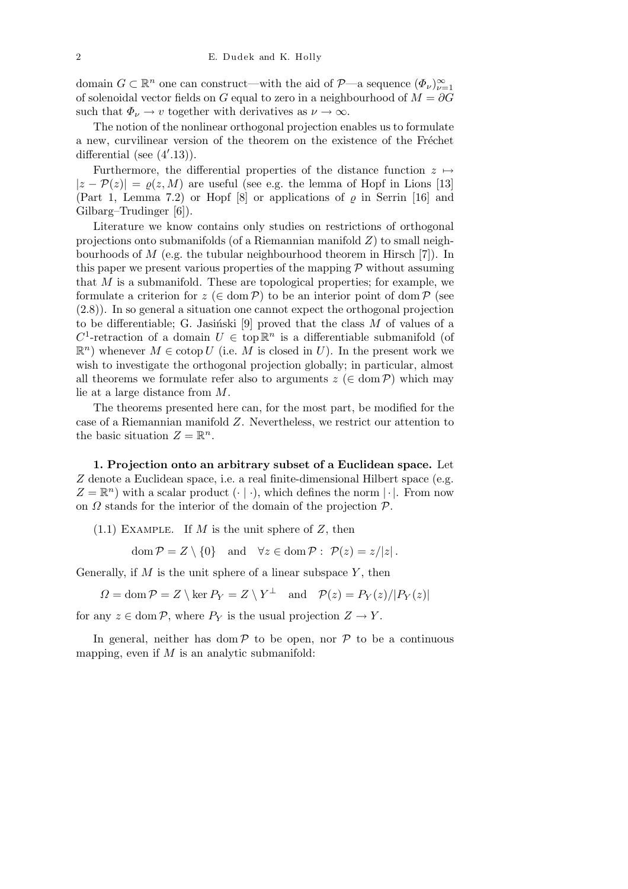domain  $G \subset \mathbb{R}^n$  one can construct—with the aid of  $\mathcal{P}$ —a sequence  $(\Phi_\nu)_{\nu=1}^\infty$ of solenoidal vector fields on G equal to zero in a neighbourhood of  $M = \partial G$ such that  $\Phi_{\nu} \to v$  together with derivatives as  $\nu \to \infty$ .

The notion of the nonlinear orthogonal projection enables us to formulate a new, curvilinear version of the theorem on the existence of the Fréchet differential (see  $(4'.13)$ ).

Furthermore, the differential properties of the distance function  $z \mapsto$  $|z - P(z)| = \rho(z,M)$  are useful (see e.g. the lemma of Hopf in Lions [13] (Part 1, Lemma 7.2) or Hopf  $[8]$  or applications of  $\varrho$  in Serrin [16] and Gilbarg–Trudinger [6]).

Literature we know contains only studies on restrictions of orthogonal projections onto submanifolds (of a Riemannian manifold  $Z$ ) to small neighbourhoods of  $M$  (e.g. the tubular neighbourhood theorem in Hirsch [7]). In this paper we present various properties of the mapping  $P$  without assuming that  $M$  is a submanifold. These are topological properties; for example, we formulate a criterion for  $z \in \text{dom } \mathcal{P}$ ) to be an interior point of dom  $\mathcal{P}$  (see (2.8)). In so general a situation one cannot expect the orthogonal projection to be differentiable; G. Jasiński [9] proved that the class  $M$  of values of a  $C^1$ -retraction of a domain  $U \in \text{top } \mathbb{R}^n$  is a differentiable submanifold (of  $\mathbb{R}^n$ ) whenever  $M \in \text{cotop } U$  (i.e. M is closed in U). In the present work we wish to investigate the orthogonal projection globally; in particular, almost all theorems we formulate refer also to arguments  $z \in \text{dom } \mathcal{P}$ ) which may lie at a large distance from M.

The theorems presented here can, for the most part, be modified for the case of a Riemannian manifold Z. Nevertheless, we restrict our attention to the basic situation  $Z = \mathbb{R}^n$ .

1. Projection onto an arbitrary subset of a Euclidean space. Let Z denote a Euclidean space, i.e. a real finite-dimensional Hilbert space (e.g.  $Z = \mathbb{R}^n$ ) with a scalar product  $(\cdot | \cdot)$ , which defines the norm  $|\cdot|$ . From now on  $\Omega$  stands for the interior of the domain of the projection  $\mathcal{P}$ .

 $(1.1)$  EXAMPLE. If M is the unit sphere of Z, then

dom  $\mathcal{P} = Z \setminus \{0\}$  and  $\forall z \in \text{dom } \mathcal{P} : \mathcal{P}(z) = z/|z|$ .

Generally, if M is the unit sphere of a linear subspace Y, then

 $\Omega = \text{dom}\,\mathcal{P} = Z \setminus \ker P_Y = Z \setminus Y^\perp \text{ and } \mathcal{P}(z) = P_Y(z)/|P_Y(z)|$ 

for any  $z \in \text{dom } \mathcal{P}$ , where  $P_Y$  is the usual projection  $Z \to Y$ .

In general, neither has dom  $P$  to be open, nor  $P$  to be a continuous mapping, even if  $M$  is an analytic submanifold: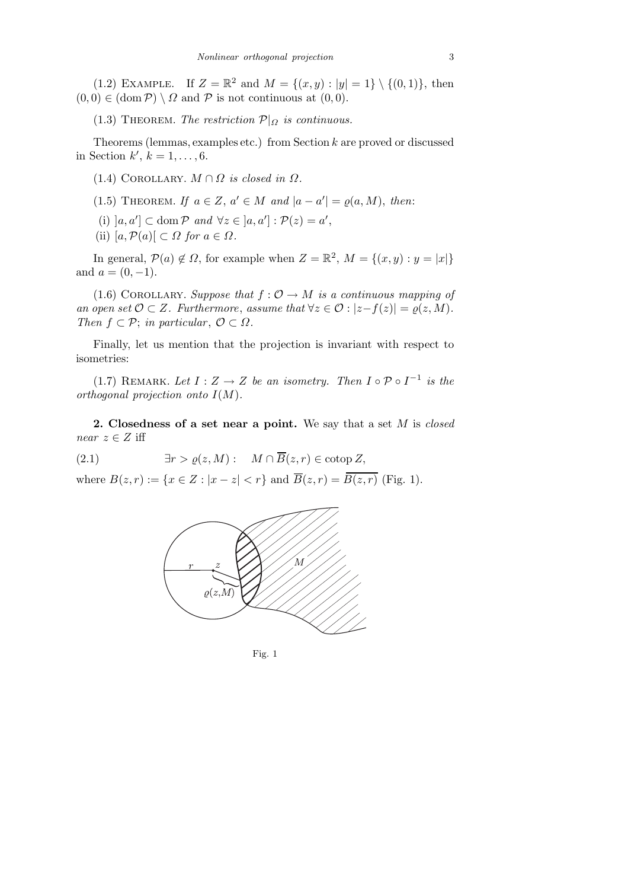(1.2) EXAMPLE. If  $Z = \mathbb{R}^2$  and  $M = \{(x, y) : |y| = 1\} \setminus \{(0, 1)\},\$  then  $(0, 0) \in (\text{dom } \mathcal{P}) \setminus \Omega$  and  $\mathcal{P}$  is not continuous at  $(0, 0)$ .

(1.3) THEOREM. The restriction  $\mathcal{P}|_{\Omega}$  is continuous.

Theorems (lemmas, examples etc.) from Section k are proved or discussed in Section  $k', k = 1, \ldots, 6$ .

(1.4) COROLLARY.  $M \cap \Omega$  is closed in  $\Omega$ .

(1.5) THEOREM. If  $a \in Z$ ,  $a' \in M$  and  $|a - a'| = \varrho(a, M)$ , then:

- (i)  $[a, a'] \subset \text{dom } \mathcal{P} \text{ and } \forall z \in [a, a'] : \mathcal{P}(z) = a',$
- (ii)  $[a, \mathcal{P}(a)] \subset \Omega$  for  $a \in \Omega$ .

In general,  $P(a) \notin \Omega$ , for example when  $Z = \mathbb{R}^2$ ,  $M = \{(x, y) : y = |x|\}$ and  $a = (0, -1)$ .

(1.6) COROLLARY. Suppose that  $f: \mathcal{O} \to M$  is a continuous mapping of an open set  $\mathcal{O} \subset Z$ . Furthermore, assume that  $\forall z \in \mathcal{O} : |z - f(z)| = \varrho(z, M)$ . Then  $f \subset \mathcal{P}$ ; in particular,  $\mathcal{O} \subset \Omega$ .

Finally, let us mention that the projection is invariant with respect to isometries:

(1.7) REMARK. Let  $I: Z \rightarrow Z$  be an isometry. Then  $I \circ \mathcal{P} \circ I^{-1}$  is the orthogonal projection onto  $I(M)$ .

2. Closedness of a set near a point. We say that a set  $M$  is closed near  $z \in Z$  iff

(2.1)  $\exists r > \rho(z, M): M \cap \overline{B}(z, r) \in \text{cot}(\Sigma)$ 

where  $B(z,r) := \{x \in Z : |x-z| < r\}$  and  $\overline{B}(z,r) = \overline{B(z,r)}$  (Fig. 1).



Fig. 1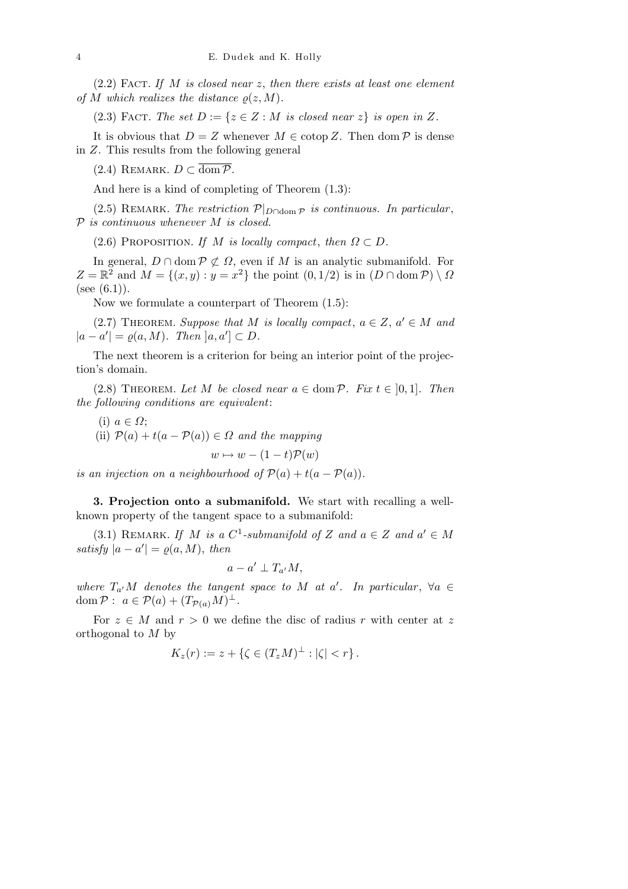$(2.2)$  FACT. If M is closed near z, then there exists at least one element of M which realizes the distance  $\rho(z,M)$ .

(2.3) FACT. The set  $D := \{z \in Z : M \text{ is closed near } z\}$  is open in Z.

It is obvious that  $D = Z$  whenever  $M \in \text{cotop } Z$ . Then  $\text{dom } \mathcal{P}$  is dense in Z. This results from the following general

(2.4) REMARK.  $D \subset \overline{\text{dom }P}$ .

And here is a kind of completing of Theorem (1.3):

(2.5) REMARK. The restriction  $\mathcal{P}|_{D \cap \text{dom } \mathcal{P}}$  is continuous. In particular,  $P$  is continuous whenever  $M$  is closed.

(2.6) PROPOSITION. If M is locally compact, then  $\Omega \subset D$ .

In general,  $D \cap \text{dom } \mathcal{P} \not\subset \Omega$ , even if M is an analytic submanifold. For  $Z = \mathbb{R}^2$  and  $M = \{(x, y) : y = x^2\}$  the point  $(0, 1/2)$  is in  $(D \cap \text{dom } \mathcal{P}) \setminus \Omega$ (see  $(6.1)$ ).

Now we formulate a counterpart of Theorem (1.5):

(2.7) THEOREM. Suppose that M is locally compact,  $a \in Z$ ,  $a' \in M$  and  $|a - a'| = \varrho(a, M)$ . Then  $]a, a'] \subset D$ .

The next theorem is a criterion for being an interior point of the projection's domain.

(2.8) THEOREM. Let M be closed near  $a \in \text{dom } P$ . Fix  $t \in [0,1]$ . Then the following conditions are equivalent:

(i) 
$$
a \in \Omega
$$
;  
\n(ii)  $\mathcal{P}(a) + t(a - \mathcal{P}(a)) \in \Omega$  and the mapping  
\n $w \mapsto w - (1 - t)\mathcal{P}(w)$ 

is an injection on a neighbourhood of  $\mathcal{P}(a) + t(a - \mathcal{P}(a))$ .

3. Projection onto a submanifold. We start with recalling a wellknown property of the tangent space to a submanifold:

(3.1) REMARK. If M is a  $C^1$ -submanifold of Z and  $a \in Z$  and  $a' \in M$ satisfy  $|a - a'| = \varrho(a, M)$ , then

$$
a-a'\perp T_{a'}M,
$$

where  $T_{a'}M$  denotes the tangent space to M at a'. In particular,  $\forall a \in$ dom  $P: a \in \mathcal{P}(a) + (T_{\mathcal{P}(a)}M)^{\perp}.$ 

For  $z \in M$  and  $r > 0$  we define the disc of radius r with center at z orthogonal to  $M$  by

$$
K_z(r) := z + \{ \zeta \in (T_z M)^{\perp} : |\zeta| < r \} \, .
$$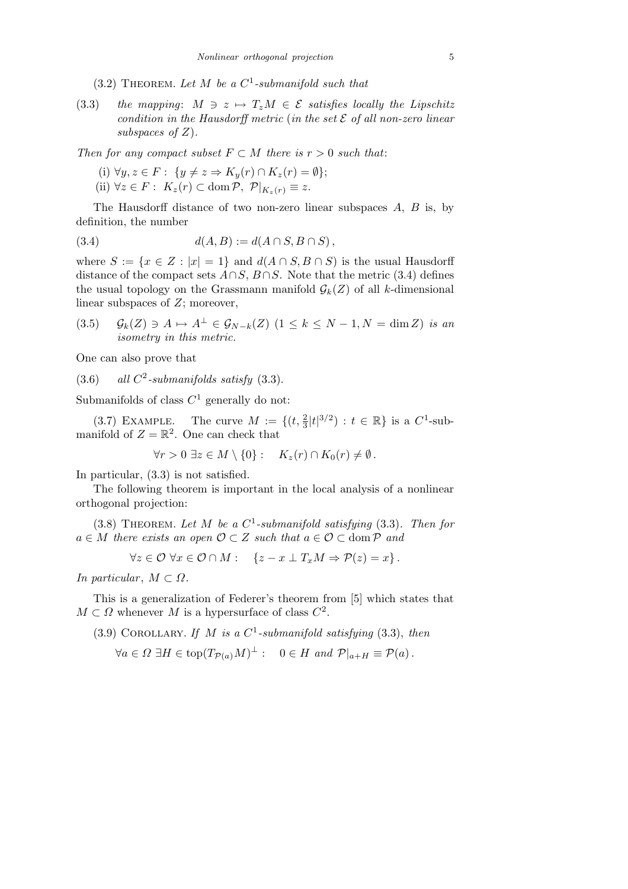$(3.2)$  THEOREM. Let M be a  $C^1$ -submanifold such that

(3.3) the mapping:  $M \ni z \mapsto T_zM \in \mathcal{E}$  satisfies locally the Lipschitz condition in the Hausdorff metric (in the set  $\mathcal E$  of all non-zero linear subspaces of  $Z$ ).

Then for any compact subset  $F \subset M$  there is  $r > 0$  such that:

(i)  $\forall y, z \in F: \{y \neq z \Rightarrow K_y(r) \cap K_z(r) = \emptyset\};$ (ii)  $\forall z \in F: K_z(r) \subset \text{dom } \mathcal{P}, \ \mathcal{P}|_{K_z(r)} \equiv z.$ 

The Hausdorff distance of two non-zero linear subspaces A, B is, by definition, the number

(3.4) 
$$
d(A, B) := d(A \cap S, B \cap S),
$$

where  $S := \{x \in Z : |x| = 1\}$  and  $d(A \cap S, B \cap S)$  is the usual Hausdorff distance of the compact sets  $A \cap S$ ,  $B \cap S$ . Note that the metric (3.4) defines the usual topology on the Grassmann manifold  $\mathcal{G}_k(Z)$  of all k-dimensional linear subspaces of Z; moreover,

(3.5)  $\mathcal{G}_k(Z) \ni A \mapsto A^\perp \in \mathcal{G}_{N-k}(Z) \ (1 \leq k \leq N-1, N = \dim Z) \$ is an isometry in this metric.

One can also prove that

 $(3.6)$  all  $C^2$ -submanifolds satisfy  $(3.3)$ .

Submanifolds of class  $C^1$  generally do not:

(3.7) EXAMPLE. The curve  $M := \{(t, \frac{2}{3} |t|^{3/2}) : t \in \mathbb{R}\}\)$  is a  $C^1$ -submanifold of  $Z = \mathbb{R}^2$ . One can check that

 $\forall r > 0 \ \exists z \in M \setminus \{0\} : \quad K_z(r) \cap K_0(r) \neq \emptyset.$ 

In particular, (3.3) is not satisfied.

The following theorem is important in the local analysis of a nonlinear orthogonal projection:

(3.8) THEOREM. Let M be a  $C^1$ -submanifold satisfying (3.3). Then for  $a \in M$  there exists an open  $\mathcal{O} \subset Z$  such that  $a \in \mathcal{O} \subset \text{dom } \mathcal{P}$  and

$$
\forall z \in \mathcal{O} \ \forall x \in \mathcal{O} \cap M: \quad \{z - x \perp T_x M \Rightarrow \mathcal{P}(z) = x\}.
$$

In particular,  $M \subset \Omega$ .

This is a generalization of Federer's theorem from [5] which states that  $M \subset \Omega$  whenever M is a hypersurface of class  $C^2$ .

(3.9) COROLLARY. If M is a  $C^1$ -submanifold satisfying (3.3), then

$$
\forall a \in \Omega \; \exists H \in \text{top}(T_{\mathcal{P}(a)}M)^{\perp} : \quad 0 \in H \text{ and } \mathcal{P}|_{a+H} \equiv \mathcal{P}(a).
$$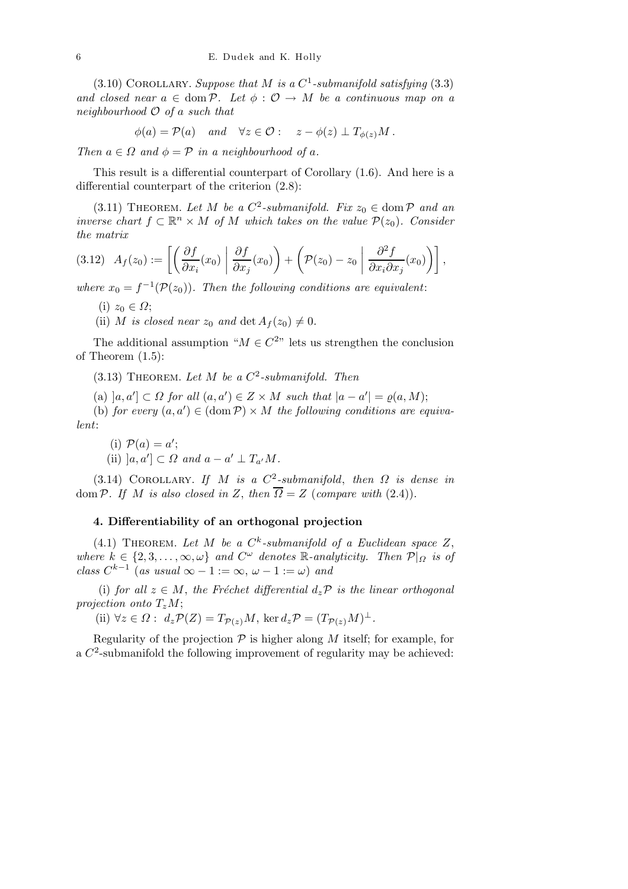(3.10) COROLLARY. Suppose that M is a  $C^1$ -submanifold satisfying (3.3) and closed near  $a \in \text{dom }\mathcal{P}$ . Let  $\phi : \mathcal{O} \to M$  be a continuous map on a neighbourhood  $\mathcal O$  of a such that

$$
\phi(a) = \mathcal{P}(a)
$$
 and  $\forall z \in \mathcal{O}: z - \phi(z) \perp T_{\phi(z)}M$ .

Then  $a \in \Omega$  and  $\phi = \mathcal{P}$  in a neighbourhood of a.

This result is a differential counterpart of Corollary (1.6). And here is a differential counterpart of the criterion (2.8):

(3.11) THEOREM. Let M be a  $C^2$ -submanifold. Fix  $z_0 \in \text{dom } \mathcal{P}$  and an inverse chart  $f \subset \mathbb{R}^n \times M$  of M which takes on the value  $\mathcal{P}(z_0)$ . Consider the matrix

$$
(3.12) \ \ A_f(z_0) := \left[ \left( \frac{\partial f}{\partial x_i}(x_0) \middle| \frac{\partial f}{\partial x_j}(x_0) \right) + \left( \mathcal{P}(z_0) - z_0 \middle| \frac{\partial^2 f}{\partial x_i \partial x_j}(x_0) \right) \right],
$$

where  $x_0 = f^{-1}(\mathcal{P}(z_0))$ . Then the following conditions are equivalent:

- (i)  $z_0 \in \Omega$ ;
- (ii) M is closed near  $z_0$  and  $\det A_f(z_0) \neq 0$ .

The additional assumption " $M \in C^{2n}$  lets us strengthen the conclusion of Theorem (1.5):

(3.13) THEOREM. Let M be a  $C^2$ -submanifold. Then

(a)  $[a, a'] \subset \Omega$  for all  $(a, a') \in Z \times M$  such that  $|a - a'| = \varrho(a, M);$ 

(b) for every  $(a, a') \in (\text{dom } \mathcal{P}) \times M$  the following conditions are equivalent:

(i) 
$$
\mathcal{P}(a) = a';
$$
  
(ii)  $[a, a'] \subset \Omega$  and  $a - a' \perp T_{a'}M$ .

(3.14) COROLLARY. If M is a  $C^2$ -submanifold, then  $\Omega$  is dense in dom P. If M is also closed in Z, then  $\overline{\Omega} = Z$  (compare with (2.4)).

#### 4. Differentiability of an orthogonal projection

(4.1) THEOREM. Let M be a  $C^k$ -submanifold of a Euclidean space Z, where  $k \in \{2, 3, ..., \infty, \omega\}$  and  $C^{\omega}$  denotes R-analyticity. Then  $\mathcal{P}|_{\Omega}$  is of class  $C^{k-1}$  (as usual  $\infty - 1 := \infty$ ,  $\omega - 1 := \omega$ ) and

(i) for all  $z \in M$ , the Fréchet differential  $d_z \mathcal{P}$  is the linear orthogonal projection onto  $T_zM$ ;

(ii)  $\forall z \in \Omega : d_z \mathcal{P}(Z) = T_{\mathcal{P}(z)}M$ , ker  $d_z \mathcal{P} = (T_{\mathcal{P}(z)}M)^{\perp}$ .

Regularity of the projection  $P$  is higher along M itself; for example, for a  $C^2$ -submanifold the following improvement of regularity may be achieved: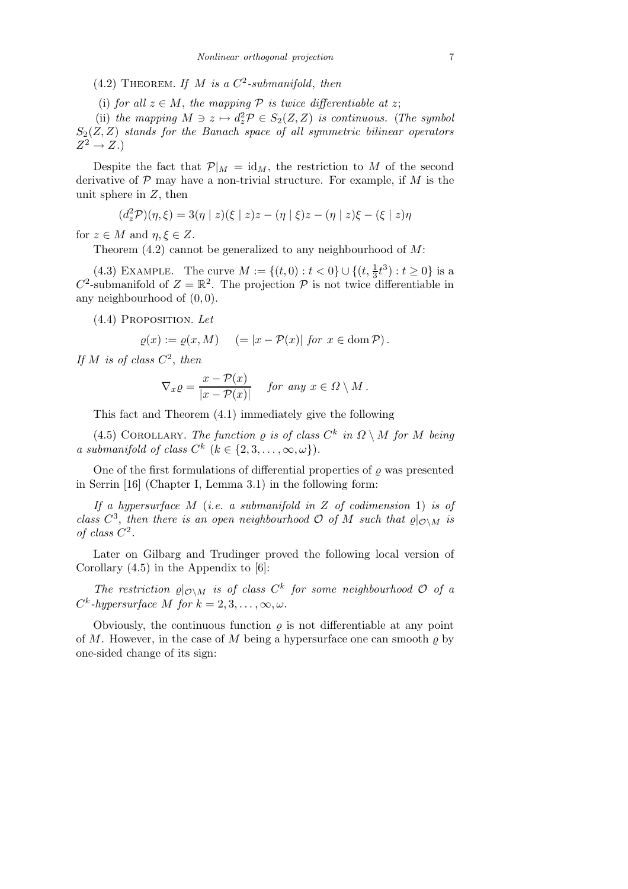- (4.2) THEOREM. If M is a  $C^2$ -submanifold, then
- (i) for all  $z \in M$ , the mapping P is twice differentiable at z;

(ii) the mapping  $M \ni z \mapsto d_z^2 \mathcal{P} \in S_2(Z,Z)$  is continuous. (The symbol  $S_2(Z,Z)$  stands for the Banach space of all symmetric bilinear operators  $Z^2 \to Z.$ 

Despite the fact that  $\mathcal{P}|_M = id_M$ , the restriction to M of the second derivative of  $P$  may have a non-trivial structure. For example, if M is the unit sphere in  $Z$ , then

$$
(d_z^2 \mathcal{P})(\eta, \xi) = 3(\eta \mid z)(\xi \mid z)z - (\eta \mid \xi)z - (\eta \mid z)\xi - (\xi \mid z)\eta
$$

for  $z \in M$  and  $\eta, \xi \in Z$ .

Theorem  $(4.2)$  cannot be generalized to any neighbourhood of M:

(4.3) EXAMPLE. The curve  $M := \{(t, 0) : t < 0\} \cup \{(t, \frac{1}{3}t^3) : t \ge 0\}$  is a  $C^2$ -submanifold of  $Z = \mathbb{R}^2$ . The projection  $\mathcal P$  is not twice differentiable in any neighbourhood of (0, 0).

(4.4) Proposition. Let

$$
\varrho(x) := \varrho(x, M) \quad (= |x - \mathcal{P}(x)| \text{ for } x \in \text{dom } \mathcal{P}).
$$

If M is of class  $C^2$ , then

$$
\nabla_x \varrho = \frac{x - \mathcal{P}(x)}{|x - \mathcal{P}(x)|} \quad \text{for any } x \in \Omega \setminus M \, .
$$

This fact and Theorem (4.1) immediately give the following

(4.5) COROLLARY. The function  $\rho$  is of class  $C^k$  in  $\Omega \setminus M$  for M being a submanifold of class  $C^k$   $(k \in \{2, 3, \ldots, \infty, \omega\})$ .

One of the first formulations of differential properties of  $\rho$  was presented in Serrin [16] (Chapter I, Lemma 3.1) in the following form:

If a hypersurface  $M$  (i.e. a submanifold in  $Z$  of codimension 1) is of class  $C^3$ , then there is an open neighbourhood  $\mathcal O$  of M such that  $\varrho|_{\mathcal O\setminus M}$  is of class  $C^2$ .

Later on Gilbarg and Trudinger proved the following local version of Corollary  $(4.5)$  in the Appendix to  $[6]$ :

The restriction  $\varrho|_{\mathcal{O}\setminus M}$  is of class  $C^k$  for some neighbourhood  $\mathcal O$  of a  $C^k$ -hypersurface M for  $k = 2, 3, \ldots, \infty, \omega$ .

Obviously, the continuous function  $\rho$  is not differentiable at any point of M. However, in the case of M being a hypersurface one can smooth  $\rho$  by one-sided change of its sign: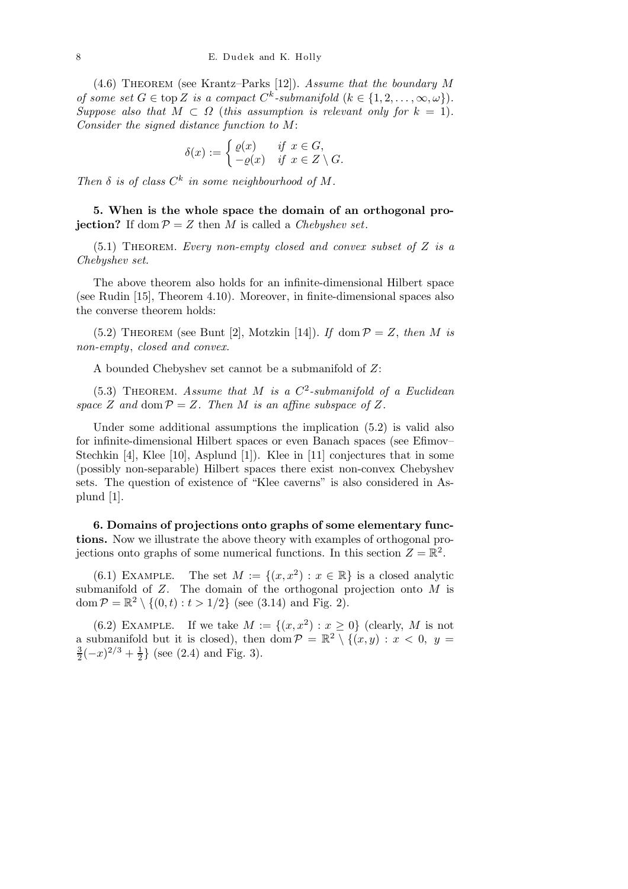$(4.6)$  THEOREM (see Krantz–Parks [12]). Assume that the boundary M of some set  $G \in \text{top } Z$  is a compact  $C^k$ -submanifold  $(k \in \{1, 2, ..., \infty, \omega\})$ . Suppose also that  $M \subset \Omega$  (this assumption is relevant only for  $k = 1$ ). Consider the signed distance function to M:

$$
\delta(x) := \begin{cases} \varrho(x) & \text{if } x \in G, \\ -\varrho(x) & \text{if } x \in Z \setminus G. \end{cases}
$$

Then  $\delta$  is of class  $C^k$  in some neighbourhood of M.

5. When is the whole space the domain of an orthogonal projection? If dom  $P = Z$  then M is called a Chebyshev set.

 $(5.1)$  THEOREM. Every non-empty closed and convex subset of Z is a Chebyshev set.

The above theorem also holds for an infinite-dimensional Hilbert space (see Rudin [15], Theorem 4.10). Moreover, in finite-dimensional spaces also the converse theorem holds:

(5.2) THEOREM (see Bunt [2], Motzkin [14]). If dom  $P = Z$ , then M is non-empty, closed and convex.

A bounded Chebyshev set cannot be a submanifold of Z:

(5.3) THEOREM. Assume that M is a  $C^2$ -submanifold of a Euclidean space Z and dom  $P = Z$ . Then M is an affine subspace of Z.

Under some additional assumptions the implication (5.2) is valid also for infinite-dimensional Hilbert spaces or even Banach spaces (see Efimov– Stechkin [4], Klee [10], Asplund [1]). Klee in [11] conjectures that in some (possibly non-separable) Hilbert spaces there exist non-convex Chebyshev sets. The question of existence of "Klee caverns" is also considered in Asplund [1].

6. Domains of projections onto graphs of some elementary functions. Now we illustrate the above theory with examples of orthogonal projections onto graphs of some numerical functions. In this section  $Z = \mathbb{R}^2$ .

(6.1) EXAMPLE. The set  $M := \{(x, x^2) : x \in \mathbb{R}\}\)$  is a closed analytic submanifold of  $Z$ . The domain of the orthogonal projection onto  $M$  is dom  $\mathcal{P} = \mathbb{R}^2 \setminus \{(0,t) : t > 1/2\}$  (see (3.14) and Fig. 2).

(6.2) EXAMPLE. If we take  $M := \{(x, x^2) : x \geq 0\}$  (clearly, M is not a submanifold but it is closed), then dom  $\mathcal{P} = \mathbb{R}^2 \setminus \{(x, y) : x < 0, y = 0\}$ 3  $\frac{3}{2}(-x)^{2/3}+\frac{1}{2}$  $\frac{1}{2}$  (see (2.4) and Fig. 3).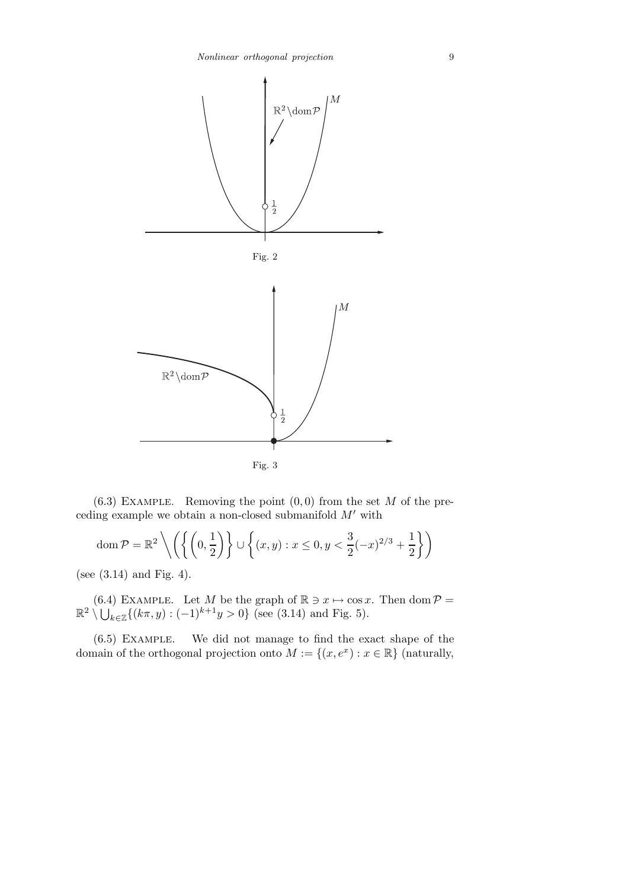

 $(6.3)$  EXAMPLE. Removing the point  $(0,0)$  from the set M of the preceding example we obtain a non-closed submanifold  $M'$  with

$$
\operatorname{dom} \mathcal{P} = \mathbb{R}^2 \left\{ \left( \left\{ \left( 0, \frac{1}{2} \right) \right\} \cup \left\{ (x, y) : x \le 0, y < \frac{3}{2} (-x)^{2/3} + \frac{1}{2} \right\} \right)
$$

(see (3.14) and Fig. 4).

(6.4) EXAMPLE. Let M be the graph of  $\mathbb{R} \ni x \mapsto \cos x$ . Then dom  $\mathcal{P} = \mathbb{R}^2 \setminus \bigcup_{k \in \mathbb{Z}} \{ (k\pi, y) : (-1)^{k+1}y > 0 \}$  (see (3.14) and Fig. 5).

(6.5) Example. We did not manage to find the exact shape of the domain of the orthogonal projection onto  $M := \{(x, e^x) : x \in \mathbb{R}\}\)$  (naturally,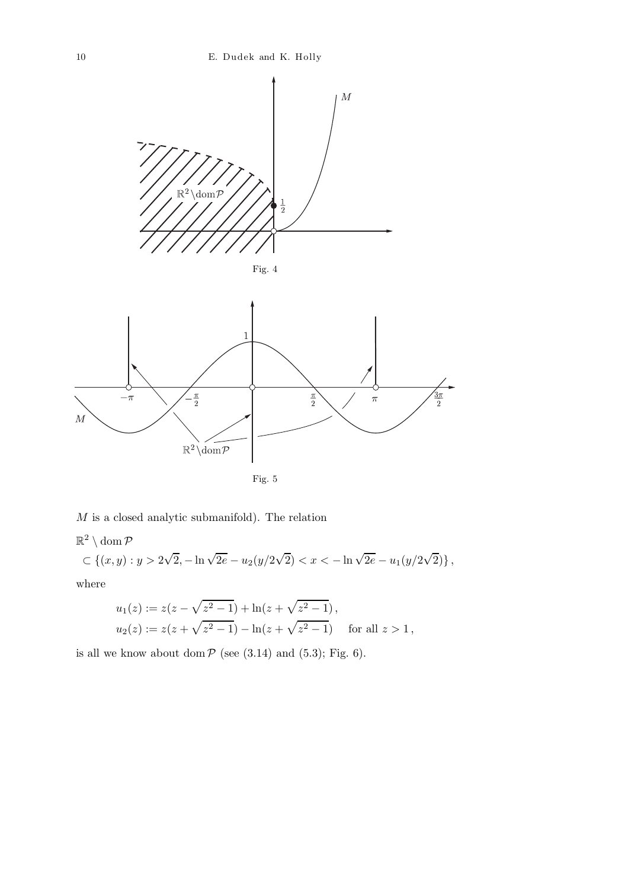

 $M$  is a closed analytic submanifold). The relation

$$
\mathbb{R}^2 \setminus \text{dom}\,\mathcal{P}
$$
  
\n
$$
\subset \{(x,y): y > 2\sqrt{2}, -\ln\sqrt{2e} - u_2(y/2\sqrt{2}) < x < -\ln\sqrt{2e} - u_1(y/2\sqrt{2})\},
$$
  
\nwhere

$$
u_1(z) := z(z - \sqrt{z^2 - 1}) + \ln(z + \sqrt{z^2 - 1}),
$$
  
\n
$$
u_2(z) := z(z + \sqrt{z^2 - 1}) - \ln(z + \sqrt{z^2 - 1}) \quad \text{for all } z > 1,
$$

is all we know about dom  $P$  (see (3.14) and (5.3); Fig. 6).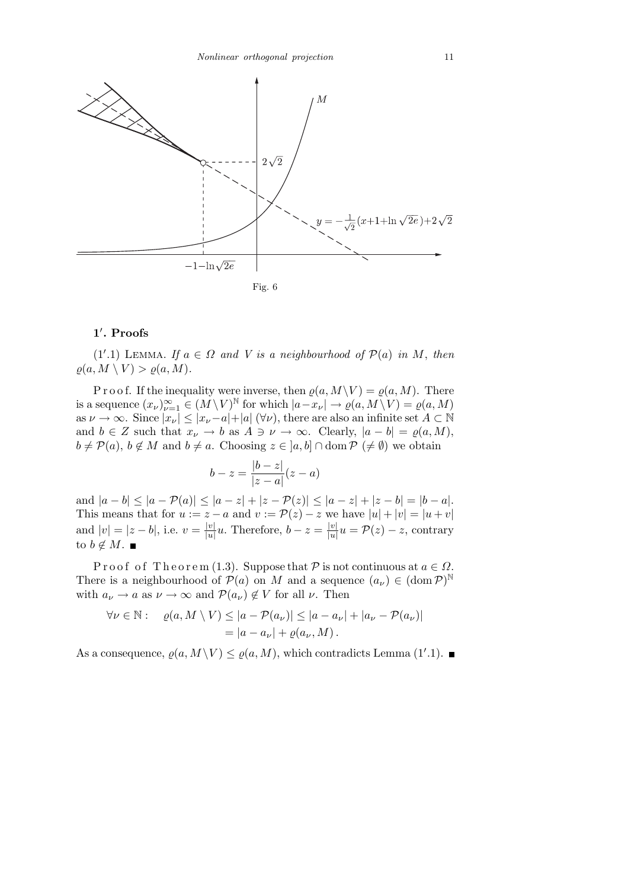

## 1 ′ . Proofs

(1'.1) LEMMA. If  $a \in \Omega$  and V is a neighbourhood of  $\mathcal{P}(a)$  in M, then  $\rho(a, M \setminus V) > \rho(a, M).$ 

P r o o f. If the inequality were inverse, then  $\varrho(a,M\setminus V) = \varrho(a,M)$ . There is a sequence  $(x_{\nu})_{\nu=1}^{\infty} \in (M \setminus V)^{\mathbb{N}}$  for which  $|a-x_{\nu}| \to \varrho(a, M \setminus V) = \varrho(a, M)$ as  $\nu \to \infty$ . Since  $|x_{\nu}| \le |x_{\nu}-a|+|a| \, (\forall \nu)$ , there are also an infinite set  $A \subset \mathbb{N}$ and  $b \in Z$  such that  $x_{\nu} \to b$  as  $A \ni \nu \to \infty$ . Clearly,  $|a - b| = \rho(a, M)$ ,  $b \neq \mathcal{P}(a)$ ,  $b \notin M$  and  $b \neq a$ . Choosing  $z \in [a, b] \cap \text{dom } \mathcal{P} \neq \emptyset$  we obtain

$$
b-z = \frac{|b-z|}{|z-a|}(z-a)
$$

and  $|a - b| \leq |a - \mathcal{P}(a)| \leq |a - z| + |z - \mathcal{P}(z)| \leq |a - z| + |z - b| = |b - a|$ . This means that for  $u := z - a$  and  $v := \mathcal{P}(z) - z$  we have  $|u| + |v| = |u + v|$ and  $|v| = |z - b|$ , i.e.  $v = \frac{|v|}{|u|}$  $\frac{|v|}{|u|}u$ . Therefore,  $b-z=\frac{|v|}{|u|}$  $\frac{|v|}{|u|}u = \mathcal{P}(z) - z$ , contrary to  $b \notin M$ .  $\blacksquare$ 

P r o o f o f T h e o r e m (1.3). Suppose that P is not continuous at  $a \in \Omega$ . There is a neighbourhood of  $\mathcal{P}(a)$  on M and a sequence  $(a_{\nu}) \in (\text{dom } \mathcal{P})^{\mathbb{N}}$ with  $a_{\nu} \to a$  as  $\nu \to \infty$  and  $\mathcal{P}(a_{\nu}) \notin V$  for all  $\nu$ . Then

$$
\forall \nu \in \mathbb{N}: \quad \varrho(a, M \setminus V) \le |a - \mathcal{P}(a_{\nu})| \le |a - a_{\nu}| + |a_{\nu} - \mathcal{P}(a_{\nu})|
$$

$$
= |a - a_{\nu}| + \varrho(a_{\nu}, M).
$$

As a consequence,  $\varrho(a, M \setminus V) \leq \varrho(a, M)$ , which contradicts Lemma (1'.1).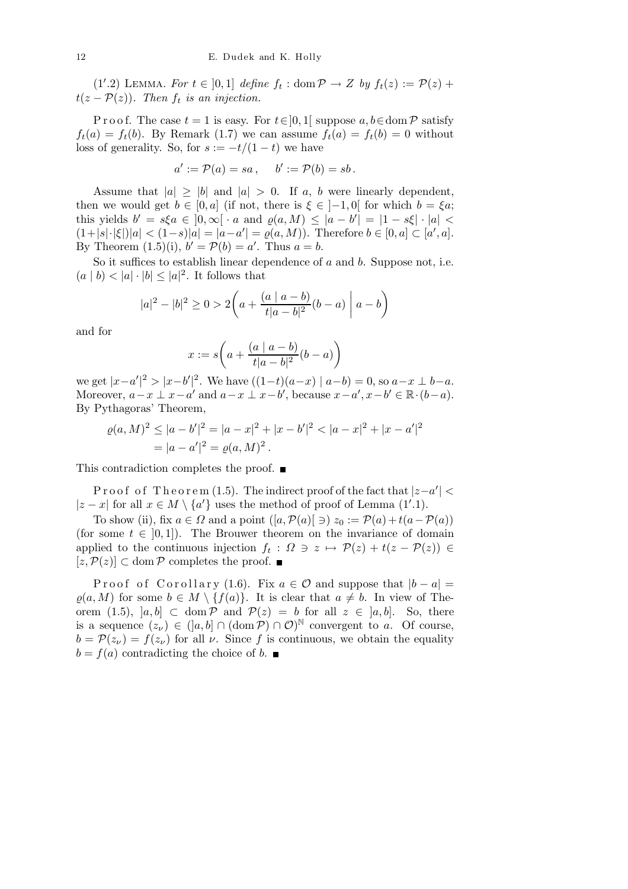(1'.2) LEMMA. For  $t \in [0,1]$  define  $f_t : \text{dom } \mathcal{P} \to Z$  by  $f_t(z) := \mathcal{P}(z) +$  $t(z - P(z))$ . Then  $f_t$  is an injection.

P r o o f. The case  $t = 1$  is easy. For  $t \in ]0,1[$  suppose  $a, b \in \text{dom } \mathcal{P}$  satisfy  $f_t(a) = f_t(b)$ . By Remark (1.7) we can assume  $f_t(a) = f_t(b) = 0$  without loss of generality. So, for  $s := -t/(1-t)$  we have

$$
a' := \mathcal{P}(a) = sa\,, \quad b' := \mathcal{P}(b) = sb\,.
$$

Assume that  $|a| > |b|$  and  $|a| > 0$ . If a, b were linearly dependent, then we would get  $b \in [0, a]$  (if not, there is  $\xi \in [-1, 0]$  for which  $b = \xi a$ ; this yields  $b' = s\xi a \in [0, \infty[ \cdot a \text{ and } \varrho(a, M)] \leq |a - b'| = |1 - s\xi| \cdot |a| <$  $(1+|s|\cdot|\xi|)|a| < (1-s)|a| = |a-a'| = \varrho(a,M)$ . Therefore  $b \in [0,a] \subset [a',a]$ . By Theorem  $(1.5)(i)$ ,  $b' = P(b) = a'$ . Thus  $a = b$ .

So it suffices to establish linear dependence of  $a$  and  $b$ . Suppose not, i.e.  $(a | b) < |a| \cdot |b| \leq |a|^2$ . It follows that

$$
|a|^2 - |b|^2 \ge 0 > 2\left(a + \frac{(a \mid a - b)}{t|a - b|^2}(b - a)\middle|a - b\right)
$$

and for

$$
x:=s\bigg(a+\frac{(a\mid a-b)}{t|a-b|^2}(b-a)\bigg)
$$

we get  $|x-a'|^2 > |x-b'|^2$ . We have  $((1-t)(a-x) | a-b) = 0$ , so  $a-x \perp b-a$ . Moreover,  $a-x \perp x-a'$  and  $a-x \perp x-b'$ , because  $x-a', x-b' \in \mathbb{R} \cdot (b-a)$ . By Pythagoras' Theorem,

$$
\varrho(a,M)^2 \le |a-b'|^2 = |a-x|^2 + |x-b'|^2 < |a-x|^2 + |x-a'|^2
$$
\n
$$
= |a-a'|^2 = \varrho(a,M)^2.
$$

This contradiction completes the proof. ■

Proof of Theorem (1.5). The indirect proof of the fact that  $|z-a'| <$ |z − x| for all  $x \in M \setminus \{a'\}$  uses the method of proof of Lemma (1'.1).

To show (ii), fix  $a \in \Omega$  and a point  $([a, \mathcal{P}(a)] \ni) z_0 := \mathcal{P}(a) + t(a - \mathcal{P}(a))$ (for some  $t \in [0, 1]$ ). The Brouwer theorem on the invariance of domain applied to the continuous injection  $f_t: \Omega \ni z \mapsto \mathcal{P}(z) + t(z - \mathcal{P}(z)) \in$ [ $z, P(z)$ ] ⊂ dom P completes the proof. ■

Proof of Corollary (1.6). Fix  $a \in \mathcal{O}$  and suppose that  $|b - a|$  $\varrho(a,M)$  for some  $b \in M \setminus \{f(a)\}.$  It is clear that  $a \neq b$ . In view of Theorem (1.5),  $[a, b] \subset \text{dom } \mathcal{P}$  and  $\mathcal{P}(z) = b$  for all  $z \in [a, b]$ . So, there is a sequence  $(z_\nu) \in (]a, b] \cap (\text{dom } \mathcal{P}) \cap \mathcal{O})^{\mathbb{N}}$  convergent to a. Of course,  $b = \mathcal{P}(z_{\nu}) = f(z_{\nu})$  for all  $\nu$ . Since f is continuous, we obtain the equality  $b = f(a)$  contradicting the choice of b.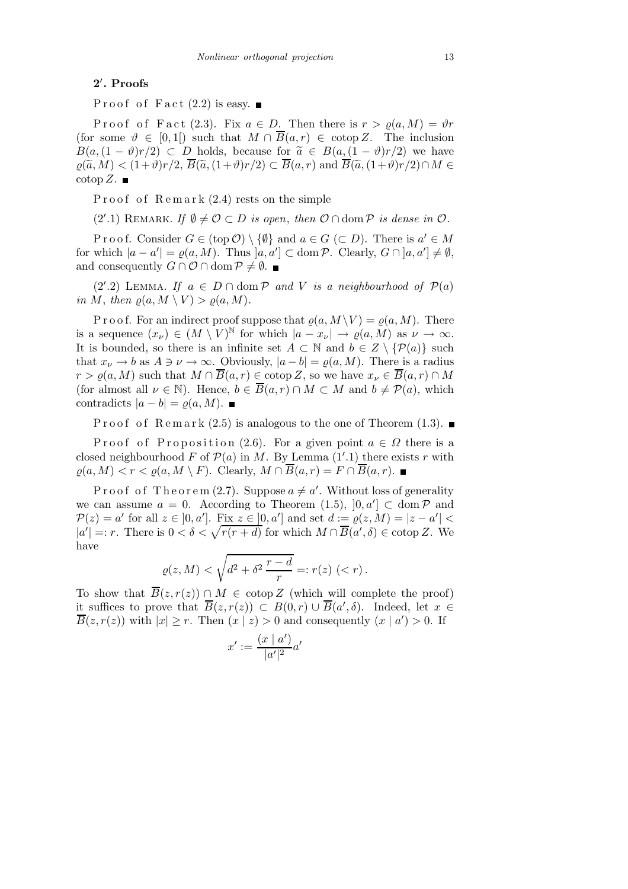# 2 ′ . Proofs

Proof of Fact  $(2.2)$  is easy.

P r o o f F a c t (2.3). Fix  $a \in D$ . Then there is  $r > \rho(a,M) = \vartheta r$ (for some  $\vartheta \in [0,1]$ ) such that  $M \cap \overline{B}(a,r) \in \text{cotop } Z$ . The inclusion  $B(a,(1-\vartheta)r/2) \subset D$  holds, because for  $\tilde{a} \in B(a,(1-\vartheta)r/2)$  we have  $\rho(\widetilde{a},M) < (1+\vartheta)r/2, \overline{B}(\widetilde{a},(1+\vartheta)r/2) \subset \overline{B}(a,r)$  and  $\overline{B}(\widetilde{a},(1+\vartheta)r/2) \cap M \in$  $\operatorname{cotop} Z.$ 

Proof of Remark  $(2.4)$  rests on the simple

(2'.1) REMARK. If  $\emptyset \neq \mathcal{O} \subset D$  is open, then  $\mathcal{O} \cap \text{dom } \mathcal{P}$  is dense in  $\mathcal{O}$ .

P r o o f. Consider  $G \in (\text{top } \mathcal{O}) \setminus \{ \emptyset \}$  and  $a \in G \subset D$ . There is  $a' \in M$ for which  $|a - a'| = \varrho(a, M)$ . Thus  $]a, a'] \subset \text{dom } \mathcal{P}$ . Clearly,  $G \cap [a, a'] \neq \emptyset$ , and consequently  $G \cap \mathcal{O} \cap \text{dom } \mathcal{P} \neq \emptyset$ .

(2'.2) LEMMA. If  $a \in D \cap \text{dom } P$  and V is a neighbourhood of  $P(a)$ in M, then  $\varrho(a, M \setminus V) > \varrho(a, M)$ .

P r o o f. For an indirect proof suppose that  $\varrho(a,M \setminus V) = \varrho(a,M)$ . There is a sequence  $(x_\nu) \in (M \setminus V)^{\mathbb{N}}$  for which  $|a - x_\nu| \to \varrho(a, M)$  as  $\nu \to \infty$ . It is bounded, so there is an infinite set  $A \subset \mathbb{N}$  and  $b \in Z \setminus \{ \mathcal{P}(a) \}$  such that  $x_{\nu} \to b$  as  $A \ni \nu \to \infty$ . Obviously,  $|a-b| = \rho(a,M)$ . There is a radius  $r > \rho(a,M)$  such that  $M \cap \overline{B}(a,r) \in \mathrm{cotop}\,Z$ , so we have  $x_{\nu} \in \overline{B}(a,r) \cap M$ (for almost all  $\nu \in \mathbb{N}$ ). Hence,  $b \in \overline{B}(a,r) \cap M \subset M$  and  $b \neq \mathcal{P}(a)$ , which contradicts  $|a - b| = \rho(a, M)$ .

P roof of Remark (2.5) is analogous to the one of Theorem (1.3).

P roof of P roposition (2.6). For a given point  $a \in \Omega$  there is a closed neighbourhood F of  $\mathcal{P}(a)$  in M. By Lemma  $(1'.1)$  there exists r with  $\rho(a,M) < r < \rho(a,M \setminus F)$ . Clearly,  $M \cap \overline{B}(a,r) = F \cap \overline{B}(a,r)$ .

Proof of Theorem (2.7). Suppose  $a \neq a'$ . Without loss of generality we can assume  $a = 0$ . According to Theorem (1.5),  $[0, a'] \subset \text{dom } \mathcal{P}$  and  $\mathcal{P}(z) = a'$  for all  $z \in [0, a']$ . Fix  $z \in [0, a']$  and set  $d := \varrho(z, M) = |z - a'|$  $|a'| =: r$ . There is  $0 < \delta < \sqrt{r(r + d)}$  for which  $M \cap \overline{B}(a', \delta) \in \text{cotop } Z$ . We have

$$
\varrho(z, M) < \sqrt{d^2 + \delta^2 \, \frac{r - d}{r}} =: r(z) \, (\lt r) \, .
$$

To show that  $\overline{B}(z,r(z)) \cap M \in \text{cotop } Z$  (which will complete the proof) it suffices to prove that  $\overline{B}(z,r(z)) \subset B(0,r) \cup \overline{B}(a',\delta)$ . Indeed, let  $x \in$  $\overline{B}(z,r(z))$  with  $|x| \ge r$ . Then  $(x | z) > 0$  and consequently  $(x | a') > 0$ . If

$$
x':=\frac{(x\mid a')}{|a'|^2}a'
$$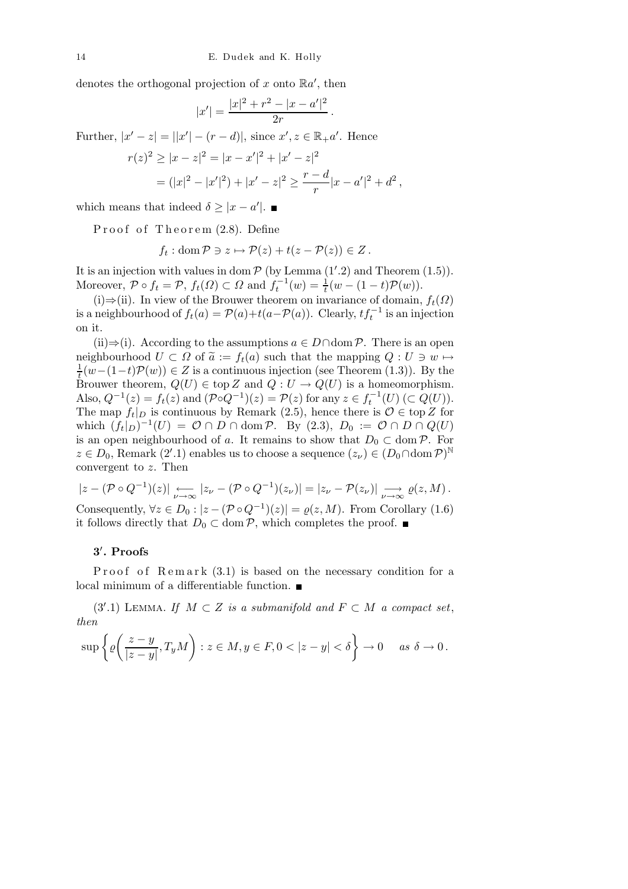denotes the orthogonal projection of x onto  $\mathbb{R}a'$ , then

$$
|x'|=\frac{|x|^2+r^2-|x-a'|^2}{2r}\,.
$$

Further,  $|x'-z| = |x'| - (r - d)|$ , since  $x', z \in \mathbb{R}_{+}a'$ . Hence

$$
r(z)^{2} \ge |x - z|^{2} = |x - x'|^{2} + |x' - z|^{2}
$$
  
=  $(|x|^{2} - |x'|^{2}) + |x' - z|^{2} \ge \frac{r - d}{r}|x - a'|^{2} + d^{2}$ ,

which means that indeed  $\delta \geq |x - a'|$ .

Proof of Theorem  $(2.8)$ . Define

$$
f_t
$$
: dom  $\mathcal{P} \ni z \mapsto \mathcal{P}(z) + t(z - \mathcal{P}(z)) \in Z$ .

It is an injection with values in dom  $P$  (by Lemma  $(1'.2)$  and Theorem  $(1.5)$ ). Moreover,  $\mathcal{P} \circ f_t = \mathcal{P}$ ,  $f_t(\Omega) \subset \Omega$  and  $f_t^{-1}(w) = \frac{1}{t}(w - (1-t)\mathcal{P}(w))$ .

(i)⇒(ii). In view of the Brouwer theorem on invariance of domain,  $f_t(\Omega)$ is a neighbourhood of  $f_t(a) = \mathcal{P}(a) + t(a - \mathcal{P}(a))$ . Clearly,  $tf_t^{-1}$  is an injection on it.

(ii)⇒(i). According to the assumptions  $a \in D \cap \text{dom } P$ . There is an open neighbourhood  $U \subset \Omega$  of  $\tilde{a} := f_t(a)$  such that the mapping  $Q : U \ni w \mapsto$ 1  $\frac{1}{t}(w-(1-t)\mathcal{P}(w))\in Z$  is a continuous injection (see Theorem (1.3)). By the Brouwer theorem,  $Q(U) \in \text{top } Z$  and  $Q: U \to Q(U)$  is a homeomorphism. Also,  $Q^{-1}(z) = f_t(z)$  and  $(\mathcal{P} \circ Q^{-1})(z) = \mathcal{P}(z)$  for any  $z \in f_t^{-1}(U)$   $(\subset Q(U))$ . The map  $f_t|_D$  is continuous by Remark (2.5), hence there is  $\mathcal{O} \in \text{top } Z$  for which  $(f_t|_D)^{-1}(U) = \mathcal{O} \cap D \cap \text{dom }\mathcal{P}$ . By (2.3),  $D_0 := \mathcal{O} \cap D \cap Q(U)$ is an open neighbourhood of a. It remains to show that  $D_0 \subset \text{dom } \mathcal{P}$ . For  $z \in D_0$ , Remark (2'.1) enables us to choose a sequence  $(z_\nu) \in (D_0 \cap \text{dom } \mathcal{P})^{\mathbb{N}}$ convergent to  $z$ . Then

$$
|z - (\mathcal{P} \circ Q^{-1})(z)| \underset{\nu \to \infty}{\longleftarrow} |z_{\nu} - (\mathcal{P} \circ Q^{-1})(z_{\nu})| = |z_{\nu} - \mathcal{P}(z_{\nu})| \underset{\nu \to \infty}{\longrightarrow} \varrho(z, M).
$$

Consequently,  $\forall z \in D_0 : |z - (\mathcal{P} \circ Q^{-1})(z)| = \varrho(z, M)$ . From Corollary (1.6) it follows directly that  $D_0 \subset \text{dom } \mathcal{P}$ , which completes the proof. ■

## 3 ′ . Proofs

Proof of Remark  $(3.1)$  is based on the necessary condition for a local minimum of a differentiable function.

(3'.1) LEMMA. If  $M \subset Z$  is a submanifold and  $F \subset M$  a compact set, then

$$
\sup \left\{ \varrho \bigg( \frac{z-y}{|z-y|}, T_y M \bigg) : z \in M, y \in F, 0 < |z-y| < \delta \right\} \to 0 \quad \text{as } \delta \to 0.
$$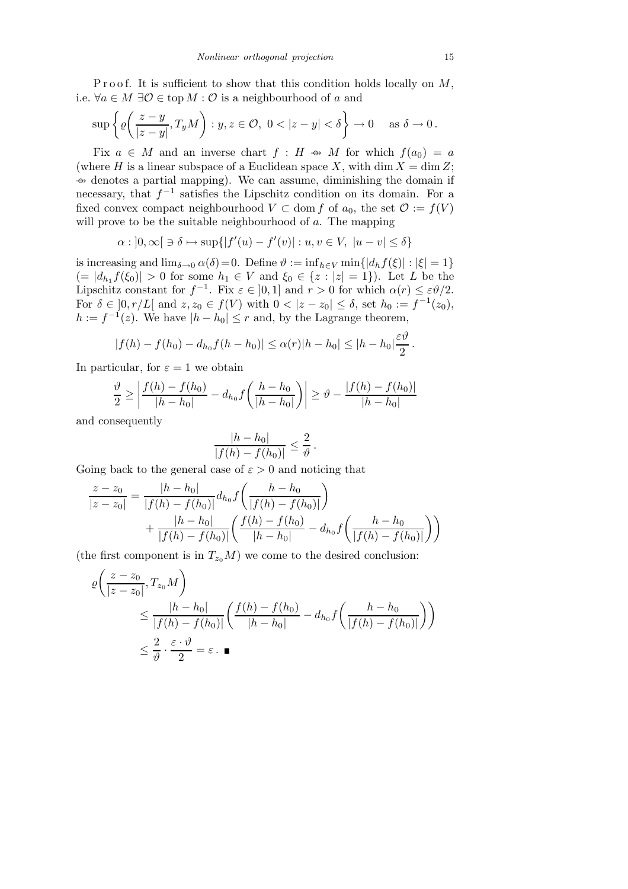P r o o f. It is sufficient to show that this condition holds locally on  $M$ , i.e.  $\forall a \in M \exists \mathcal{O} \in \text{top } M : \mathcal{O}$  is a neighbourhood of a and

$$
\sup \left\{ \varrho \bigg( \frac{z-y}{|z-y|}, T_y M \bigg) : y, z \in \mathcal{O}, \ 0 < |z-y| < \delta \right\} \to 0 \quad \text{as } \delta \to 0.
$$

Fix  $a \in M$  and an inverse chart  $f : H \Leftrightarrow M$  for which  $f(a_0) = a$ (where H is a linear subspace of a Euclidean space X, with dim  $X = \dim Z$ ;  $\rightarrow$  denotes a partial mapping). We can assume, diminishing the domain if necessary, that  $f^{-1}$  satisfies the Lipschitz condition on its domain. For a fixed convex compact neighbourhood  $V \subset$  dom f of  $a_0$ , the set  $\mathcal{O} := f(V)$ will prove to be the suitable neighbourhood of  $a$ . The mapping

$$
\alpha: \left]0,\infty\right[\ni \delta \mapsto \sup\{\left|f'(u)-f'(v)\right|: u,v \in V, \ |u-v|\leq \delta\}
$$

is increasing and  $\lim_{\delta \to 0} \alpha(\delta) = 0$ . Define  $\vartheta := \inf_{h \in V} \min\{|d_h f(\xi)| : |\xi| = 1\}$  $(= |d_{h_1} f(\xi_0)| > 0$  for some  $h_1 \in V$  and  $\xi_0 \in \{z : |z| = 1\}$ . Let L be the Lipschitz constant for  $f^{-1}$ . Fix  $\varepsilon \in [0,1]$  and  $r > 0$  for which  $\alpha(r) \leq \varepsilon \vartheta/2$ . For  $\delta \in ]0, r/L[$  and  $z, z_0 \in f(V)$  with  $0 < |z - z_0| \leq \delta$ , set  $h_0 := f^{-1}(z_0)$ ,  $h := f^{-1}(z)$ . We have  $|h - h_0| \le r$  and, by the Lagrange theorem,

$$
|f(h) - f(h_0) - d_{h_0}f(h - h_0)| \leq \alpha(r)|h - h_0| \leq |h - h_0| \frac{\varepsilon \vartheta}{2}.
$$

In particular, for  $\varepsilon = 1$  we obtain

$$
\frac{\vartheta}{2} \ge \left| \frac{f(h) - f(h_0)}{|h - h_0|} - d_{h_0} f\left(\frac{h - h_0}{|h - h_0|}\right) \right| \ge \vartheta - \frac{|f(h) - f(h_0)|}{|h - h_0|}
$$

and consequently

$$
\frac{|h-h_0|}{|f(h)-f(h_0)|}\leq \frac{2}{\vartheta}.
$$

Going back to the general case of  $\varepsilon > 0$  and noticing that

$$
\frac{z - z_0}{|z - z_0|} = \frac{|h - h_0|}{|f(h) - f(h_0)|} d_{h_0} f\left(\frac{h - h_0}{|f(h) - f(h_0)|}\right) + \frac{|h - h_0|}{|f(h) - f(h_0)|} \left(\frac{f(h) - f(h_0)}{|h - h_0|} - d_{h_0} f\left(\frac{h - h_0}{|f(h) - f(h_0)|}\right)\right)
$$

(the first component is in  $T_{z_0}M$ ) we come to the desired conclusion:

$$
\varrho\left(\frac{z-z_0}{|z-z_0|},T_{z_0}M\right)
$$
\n
$$
\leq \frac{|h-h_0|}{|f(h)-f(h_0)|}\left(\frac{f(h)-f(h_0)}{|h-h_0|} - d_{h_0}f\left(\frac{h-h_0}{|f(h)-f(h_0)|}\right)\right)
$$
\n
$$
\leq \frac{2}{\vartheta} \cdot \frac{\varepsilon \cdot \vartheta}{2} = \varepsilon \cdot \blacksquare
$$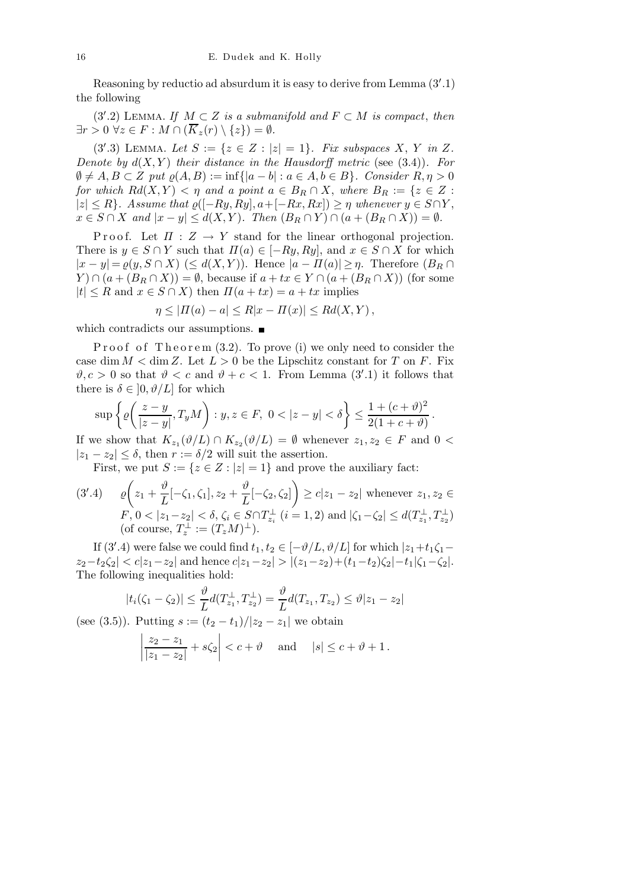Reasoning by reductio ad absurdum it is easy to derive from Lemma (3′ .1) the following

(3'.2) LEMMA. If  $M \subset Z$  is a submanifold and  $F \subset M$  is compact, then  $\exists r > 0 \ \forall z \in F : M \cap (\overline{K}_z(r) \setminus \{z\}) = \emptyset.$ 

(3'.3) LEMMA. Let  $S := \{z \in Z : |z| = 1\}$ . Fix subspaces X, Y in Z. Denote by  $d(X, Y)$  their distance in the Hausdorff metric (see (3.4)). For  $\emptyset \neq A, B \subset Z$  put  $\rho(A, B) := \inf\{|a - b| : a \in A, b \in B\}$ . Consider  $R, \eta > 0$ for which  $Rd(X,Y) < \eta$  and a point  $a \in B_R \cap X$ , where  $B_R := \{z \in Z :$  $|z| \leq R$ . Assume that  $\varrho([-Ry, Ry], a+[-Rx, Rx]) \geq \eta$  whenever  $y \in S \cap Y$ ,  $x \in S \cap X$  and  $|x - y| \leq d(X, Y)$ . Then  $(B_R \cap Y) \cap (a + (B_R \cap X)) = \emptyset$ .

P r o o f. Let  $\Pi : Z \to Y$  stand for the linear orthogonal projection. There is  $y \in S \cap Y$  such that  $\Pi(a) \in [-Ry, Ry]$ , and  $x \in S \cap X$  for which  $|x - y| = \varrho(y, S \cap X)$  ( $\leq d(X, Y)$ ). Hence  $|a - \Pi(a)| \geq \eta$ . Therefore  $(B_R \cap$  $Y \cap (a + (B_R \cap X)) = \emptyset$ , because if  $a + tx \in Y \cap (a + (B_R \cap X))$  (for some  $|t| \leq R$  and  $x \in S \cap X$ ) then  $\Pi(a + tx) = a + tx$  implies

$$
\eta \le |H(a) - a| \le R|x - H(x)| \le Rd(X, Y),
$$

which contradicts our assumptions.  $\blacksquare$ 

Proof of Theorem  $(3.2)$ . To prove (i) we only need to consider the case dim  $M < \dim Z$ . Let  $L > 0$  be the Lipschitz constant for T on F. Fix  $\vartheta, c > 0$  so that  $\vartheta < c$  and  $\vartheta + c < 1$ . From Lemma (3'.1) it follows that there is  $\delta \in [0, \vartheta/L]$  for which

$$
\sup \left\{ \varrho \bigg( \frac{z-y}{|z-y|}, T_y M \bigg) : y, z \in F, \ 0 < |z-y| < \delta \right\} \le \frac{1 + (c + \vartheta)^2}{2(1 + c + \vartheta)}.
$$

If we show that  $K_{z_1}(\vartheta/L) \cap K_{z_2}(\vartheta/L) = \varnothing$  whenever  $z_1, z_2 \in F$  and  $0 <$  $|z_1 - z_2| \leq \delta$ , then  $r := \delta/2$  will suit the assertion.

First, we put  $S := \{z \in \mathbb{Z} : |z| = 1\}$  and prove the auxiliary fact:

$$
(3'.4) \quad \varrho\bigg(z_1 + \frac{\vartheta}{L}[-\zeta_1, \zeta_1], z_2 + \frac{\vartheta}{L}[-\zeta_2, \zeta_2]\bigg) \ge c|z_1 - z_2| \text{ whenever } z_1, z_2 \in F, 0 < |z_1 - z_2| < \delta, \zeta_i \in S \cap T_{z_i}^{\perp} \ (i = 1, 2) \text{ and } |\zeta_1 - \zeta_2| \le d(T_{z_1}^{\perp}, T_{z_2}^{\perp}) \text{ (of course, } T_z^{\perp} := (T_z M)^{\perp}\text{)}.
$$

If (3'.4) were false we could find  $t_1, t_2 \in [-\vartheta/L, \vartheta/L]$  for which  $|z_1+t_1\zeta_1 |z_2-t_2\zeta_2| < c|z_1-z_2|$  and hence  $c|z_1-z_2| > |(z_1-z_2)+(t_1-t_2)\zeta_2|-t_1|\zeta_1-\zeta_2|$ . The following inequalities hold:

$$
|t_i(\zeta_1 - \zeta_2)| \le \frac{\vartheta}{L} d(T_{z_1}^{\perp}, T_{z_2}^{\perp}) = \frac{\vartheta}{L} d(T_{z_1}, T_{z_2}) \le \vartheta |z_1 - z_2|
$$

(see (3.5)). Putting  $s := (t_2 - t_1)/|z_2 - z_1|$  we obtain

$$
\left|\frac{z_2 - z_1}{|z_1 - z_2|} + s\zeta_2\right| < c + \vartheta \quad \text{and} \quad |s| \le c + \vartheta + 1.
$$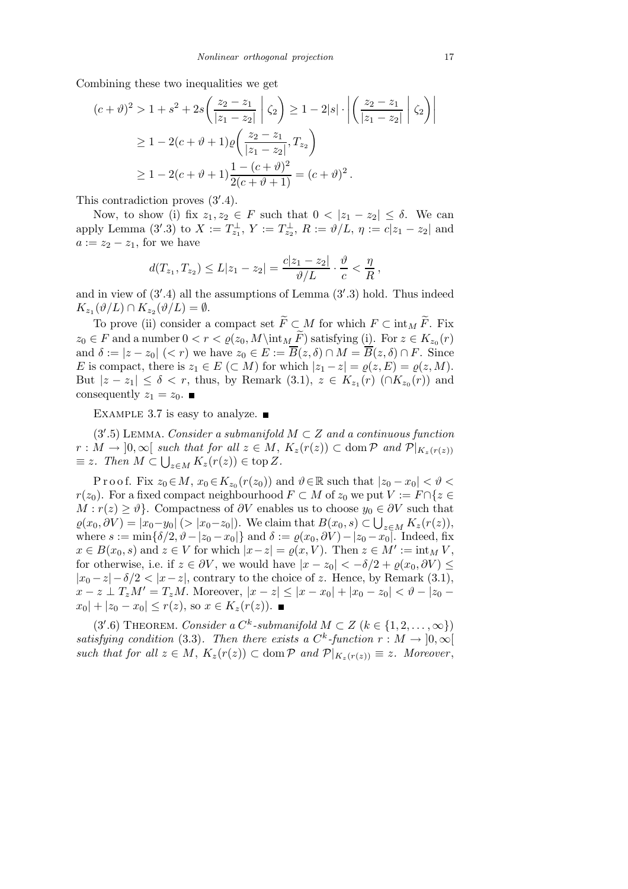Combining these two inequalities we get

$$
(c + \vartheta)^2 > 1 + s^2 + 2s \left( \frac{z_2 - z_1}{|z_1 - z_2|} \middle| \zeta_2 \right) \ge 1 - 2|s| \cdot \left| \left( \frac{z_2 - z_1}{|z_1 - z_2|} \middle| \zeta_2 \right) \right|
$$
  
\n
$$
\ge 1 - 2(c + \vartheta + 1)\varrho \left( \frac{z_2 - z_1}{|z_1 - z_2|}, T_{z_2} \right)
$$
  
\n
$$
\ge 1 - 2(c + \vartheta + 1) \frac{1 - (c + \vartheta)^2}{2(c + \vartheta + 1)} = (c + \vartheta)^2.
$$

This contradiction proves  $(3^{\prime}.4)$ .

Now, to show (i) fix  $z_1, z_2 \in F$  such that  $0 < |z_1 - z_2| \leq \delta$ . We can apply Lemma (3'.3) to  $X := T_{z_1}^{\perp}$ ,  $Y := T_{z_2}^{\perp}$ ,  $R := \vartheta/L$ ,  $\eta := c|z_1 - z_2|$  and  $a := z_2 - z_1$ , for we have

$$
d(T_{z_1}, T_{z_2}) \leq L|z_1 - z_2| = \frac{c|z_1 - z_2|}{\vartheta/L} \cdot \frac{\vartheta}{c} < \frac{\eta}{R},
$$

and in view of (3′ .4) all the assumptions of Lemma (3′ .3) hold. Thus indeed  $K_{z_1}(\vartheta/L) \cap K_{z_2}(\vartheta/L) = \emptyset.$ 

To prove (ii) consider a compact set  $\widetilde{F} \subset M$  for which  $F \subset \text{int}_M \widetilde{F}$ . Fix  $z_0 \in F$  and a number  $0 < r < \varrho(z_0, M \in F)$  satisfying  $(i)$ . For  $z \in K_{z_0}(r)$ and  $\delta := |z - z_0| \ (*r*)$  we have  $z_0 \in E := \overline{B}(z, \delta) \cap M = \overline{B}(z, \delta) \cap F$ . Since E is compact, there is  $z_1 \in E \subset M$ ) for which  $|z_1 - z| = \varrho(z, E) = \varrho(z, M)$ . But  $|z - z_1| \leq \delta < r$ , thus, by Remark (3.1),  $z \in K_{z_1}(r)$  (∩ $K_{z_0}(r)$ ) and consequently  $z_1 = z_0$ .

EXAMPLE 3.7 is easy to analyze.  $\blacksquare$ 

(3'.5) LEMMA. Consider a submanifold  $M \subset Z$  and a continuous function  $r: M \to [0,\infty[$  such that for all  $z \in M$ ,  $K_z(r(z)) \subset \text{dom } \mathcal{P}$  and  $\mathcal{P}|_{K_z(r(z))}$  $\equiv z$ . Then  $M \subset \bigcup_{z \in M} K_z(r(z)) \in \text{top } Z$ .

P r o o f. Fix  $z_0 \in M$ ,  $x_0 \in K_{z_0}(r(z_0))$  and  $\vartheta \in \mathbb{R}$  such that  $|z_0 - x_0| < \vartheta <$  $r(z_0)$ . For a fixed compact neighbourhood  $F \subset M$  of  $z_0$  we put  $V := F \cap \{z \in$  $M : r(z) \geq \vartheta$ . Compactness of  $\partial V$  enables us to choose  $y_0 \in \partial V$  such that  $\varrho(x_0, \partial V) = |x_0 - y_0| \ (> |x_0 - z_0|)$ . We claim that  $B(x_0, s) \subset \bigcup_{z \in M} K_z(r(z))$ , where  $s := \min\{\delta/2, \vartheta - |z_0 - x_0|\}$  and  $\delta := \varrho(x_0, \partial V) - |z_0 - x_0|$ . Indeed, fix  $x \in B(x_0, s)$  and  $z \in V$  for which  $|x-z| = \varrho(x, V)$ . Then  $z \in M' := \text{int}_M V$ , for otherwise, i.e. if  $z \in \partial V$ , we would have  $|x - z_0| < -\delta/2 + \rho(x_0, \partial V) \leq$  $|x_0-z|-\delta/2 < |x-z|$ , contrary to the choice of z. Hence, by Remark (3.1),  $x - z \perp T_z M' = T_z M$ . Moreover,  $|x - z| \le |x - x_0| + |x_0 - z_0| < \vartheta - |z_0 - z_0|$  $|x_0| + |z_0 - x_0| \le r(z)$ , so  $x \in K_z(r(z))$ .

(3'.6) THEOREM. Consider a  $C^k$ -submanifold  $M \subset Z$   $(k \in \{1, 2, ..., \infty\})$ satisfying condition (3.3). Then there exists a  $C^k$ -function  $r : M \to [0, \infty[$ such that for all  $z \in M$ ,  $K_z(r(z)) \subset \text{dom } \mathcal{P}$  and  $\mathcal{P}|_{K_z(r(z))} \equiv z$ . Moreover,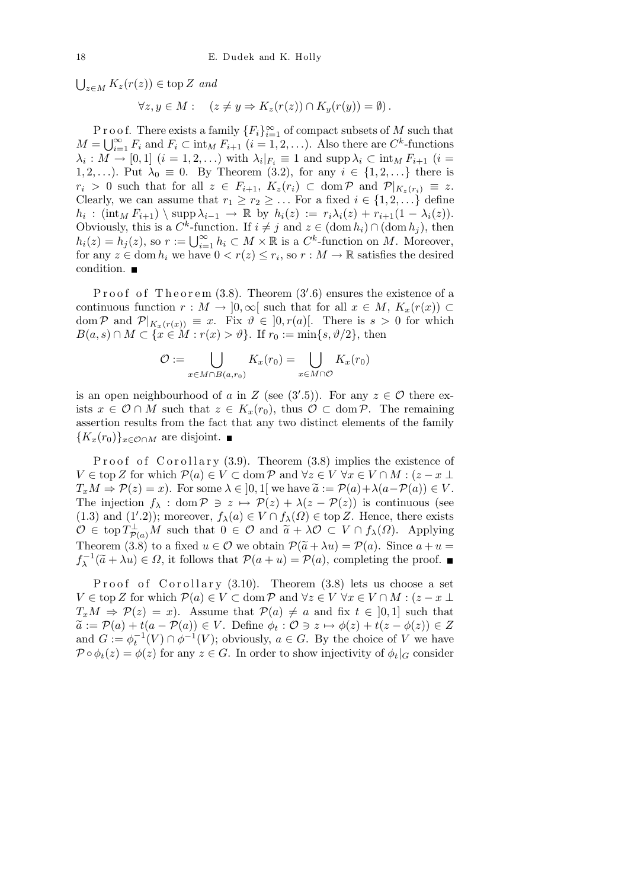$\bigcup_{z \in M} K_z(r(z)) \in \text{top } Z$  and

$$
\forall z, y \in M: \quad (z \neq y \Rightarrow K_z(r(z)) \cap K_y(r(y)) = \emptyset).
$$

P r o o f. There exists a family  ${F_i}_{i=1}^{\infty}$  of compact subsets of M such that  $M = \bigcup_{i=1}^{\infty} F_i$  and  $F_i \subset \text{int}_M F_{i+1}$   $(i = 1, 2, \ldots)$ . Also there are  $C^k$ -functions  $\lambda_i: M \to [0,1]$   $(i = 1, 2, ...)$  with  $\lambda_i|_{F_i} \equiv 1$  and supp  $\lambda_i \subset \inf_M F_{i+1}$   $(i = 1, 2, ...)$ 1, 2,...). Put  $\lambda_0 \equiv 0$ . By Theorem (3.2), for any  $i \in \{1, 2, ...\}$  there is  $r_i > 0$  such that for all  $z \in F_{i+1}$ ,  $K_z(r_i) \subset \text{dom } \mathcal{P}$  and  $\mathcal{P}|_{K_z(r_i)} \equiv z$ . Clearly, we can assume that  $r_1 \geq r_2 \geq \ldots$  For a fixed  $i \in \{1, 2, \ldots\}$  define  $h_i$  :  $(\text{int}_M F_{i+1}) \setminus \text{supp }\lambda_{i-1} \to \mathbb{R}$  by  $h_i(z) := r_i \lambda_i(z) + r_{i+1}(1 - \lambda_i(z)).$ Obviously, this is a  $C^k$ -function. If  $i \neq j$  and  $z \in (\text{dom } h_i) \cap (\text{dom } h_j)$ , then  $h_i(z) = h_j(z)$ , so  $r := \bigcup_{i=1}^{\infty} h_i \subset M \times \mathbb{R}$  is a  $C^k$ -function on M. Moreover, for any  $z \in \text{dom } h_i$  we have  $0 < r(z) \leq r_i$ , so  $r : M \to \mathbb{R}$  satisfies the desired condition.

Proof of Theorem  $(3.8)$ . Theorem  $(3'.6)$  ensures the existence of a continuous function  $r : M \to [0,\infty[$  such that for all  $x \in M$ ,  $K_x(r(x)) \subset$ dom P and  $\mathcal{P}|_{K_x(r(x))} \equiv x$ . Fix  $\vartheta \in ]0, r(a)]$ . There is  $s > 0$  for which  $B(a,s) \cap M \subset \{x \in M : r(x) > \vartheta\}.$  If  $r_0 := \min\{s, \vartheta/2\}$ , then

$$
\mathcal{O} := \bigcup_{x \in M \cap B(a, r_0)} K_x(r_0) = \bigcup_{x \in M \cap \mathcal{O}} K_x(r_0)
$$

is an open neighbourhood of a in Z (see  $(3'.5)$ ). For any  $z \in \mathcal{O}$  there exists  $x \in \mathcal{O} \cap M$  such that  $z \in K_x(r_0)$ , thus  $\mathcal{O} \subset \text{dom } \mathcal{P}$ . The remaining assertion results from the fact that any two distinct elements of the family  ${K_x(r_0)}$ <sub>x∈ $\mathcal{O} \cap M$ </sub> are disjoint.  $\blacksquare$ 

P roof of Corollary  $(3.9)$ . Theorem  $(3.8)$  implies the existence of  $V \in \text{top } Z$  for which  $\mathcal{P}(a) \in V \subset \text{dom } \mathcal{P}$  and  $\forall z \in V \ \forall x \in V \cap M : (z - x \perp \mathcal{P})$  $T_xM \Rightarrow \mathcal{P}(z) = x$ . For some  $\lambda \in ]0,1[$  we have  $\tilde{a} := \mathcal{P}(a) + \lambda(a-\mathcal{P}(a)) \in V$ . The injection  $f_{\lambda}$ : dom  $\mathcal{P} \ni z \mapsto \mathcal{P}(z) + \lambda(z - \mathcal{P}(z))$  is continuous (see (1.3) and (1'.2)); moreover,  $f_{\lambda}(a) \in V \cap f_{\lambda}(\Omega) \in \text{top } Z$ . Hence, there exists  $\mathcal{O} \in \text{top } T^{\perp}_{\mathcal{O}(a)}M$  such that  $0 \in \mathcal{O}$  and  $\tilde{a} + \lambda \mathcal{O} \subset V \cap f_{\lambda}(\Omega)$ . Applying Theorem (3.8) to a fixed  $u \in \mathcal{O}$  we obtain  $\mathcal{P}(\tilde{a} + \lambda u) = \mathcal{P}(a)$ . Since  $a + u =$  $f_{\lambda}^{-1}(\tilde{a} + \lambda u) \in \Omega$ , it follows that  $\mathcal{P}(a + u) = \mathcal{P}(a)$ , completing the proof.

Proof of Corollary  $(3.10)$ . Theorem  $(3.8)$  lets us choose a set  $V \in \text{top } Z$  for which  $\mathcal{P}(a) \in V \subset \text{dom } \mathcal{P}$  and  $\forall z \in V \ \forall x \in V \cap M : (z - x \perp \mathcal{P})$  $T_xM \Rightarrow \mathcal{P}(z) = x$ . Assume that  $\mathcal{P}(a) \neq a$  and fix  $t \in [0,1]$  such that  $\widetilde{a} := \mathcal{P}(a) + t(a - \mathcal{P}(a)) \in V$ . Define  $\phi_t : \mathcal{O} \ni z \mapsto \phi(z) + t(z - \phi(z)) \in Z$ and  $G := \phi_t^{-1}(V) \cap \phi^{-1}(V)$ ; obviously,  $a \in G$ . By the choice of V we have  $\mathcal{P} \circ \phi_t(z) = \phi(z)$  for any  $z \in G$ . In order to show injectivity of  $\phi_t|_G$  consider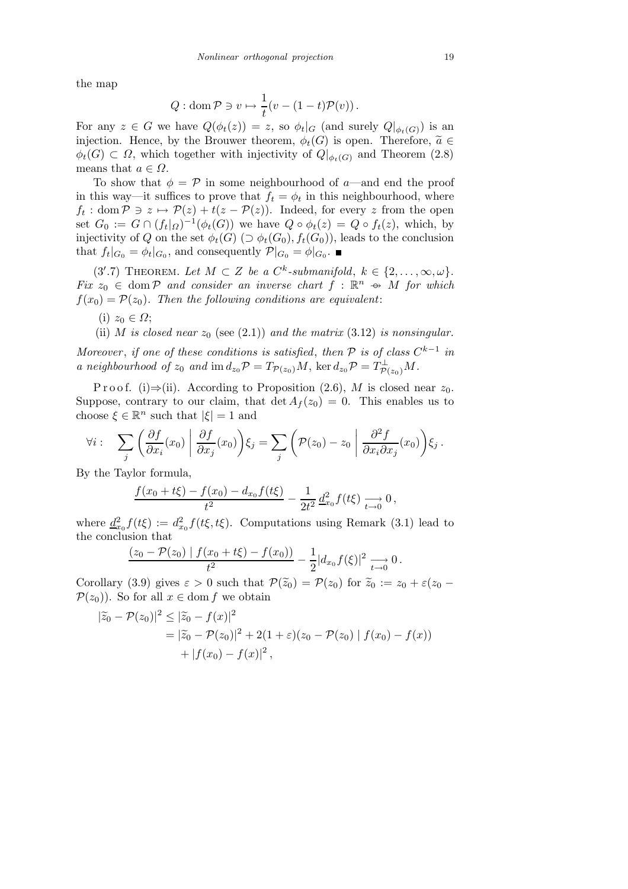the map

$$
Q: \operatorname{dom} \mathcal{P} \ni v \mapsto \frac{1}{t}(v - (1-t)\mathcal{P}(v)).
$$

For any  $z \in G$  we have  $Q(\phi_t(z)) = z$ , so  $\phi_t|_G$  (and surely  $Q|_{\phi_t(G)}$ ) is an injection. Hence, by the Brouwer theorem,  $\phi_t(G)$  is open. Therefore,  $\widetilde{a} \in$  $\phi_t(G) \subset \Omega$ , which together with injectivity of  $Q|_{\phi_t(G)}$  and Theorem (2.8) means that  $a \in \Omega$ .

To show that  $\phi = \mathcal{P}$  in some neighbourhood of a—and end the proof in this way—it suffices to prove that  $f_t = \phi_t$  in this neighbourhood, where  $f_t: \text{dom } \mathcal{P} \ni z \mapsto \mathcal{P}(z) + t(z - \mathcal{P}(z)).$  Indeed, for every z from the open set  $G_0 := G \cap (f_t|_{\Omega})^{-1}(\phi_t(G))$  we have  $Q \circ \phi_t(z) = Q \circ f_t(z)$ , which, by injectivity of Q on the set  $\phi_t(G)$  ( $\supset \phi_t(G_0), f_t(G_0)$ ), leads to the conclusion that  $f_t|_{G_0} = \phi_t|_{G_0}$ , and consequently  $\mathcal{P}|_{G_0} = \phi|_{G_0}$ .

(3'.7) THEOREM. Let  $M \subset Z$  be a  $C^k$ -submanifold,  $k \in \{2, \ldots, \infty, \omega\}$ . Fix  $z_0 \in \text{dom } \mathcal{P}$  and consider an inverse chart  $f : \mathbb{R}^n \to M$  for which  $f(x_0) = \mathcal{P}(z_0)$ . Then the following conditions are equivalent:

- (i)  $z_0 \in \Omega$ ;
- (ii) M is closed near  $z_0$  (see (2.1)) and the matrix (3.12) is nonsingular.

Moreover, if one of these conditions is satisfied, then  $\mathcal P$  is of class  $C^{k-1}$  in a neighbourhood of  $z_0$  and  $\text{im } d_{z_0} \mathcal{P} = T_{\mathcal{P}(z_0)} M$ ,  $\text{ker } d_{z_0} \mathcal{P} = T_{\mathcal{P}(z_0)}^{\perp} M$ .

P r o o f. (i)⇒(ii). According to P roposition (2.6), M is closed near  $z_0$ . Suppose, contrary to our claim, that  $\det A_f(z_0) = 0$ . This enables us to choose  $\xi \in \mathbb{R}^n$  such that  $|\xi| = 1$  and

$$
\forall i: \quad \sum_j \left( \frac{\partial f}{\partial x_i}(x_0) \middle| \frac{\partial f}{\partial x_j}(x_0) \right) \xi_j = \sum_j \left( \mathcal{P}(z_0) - z_0 \middle| \frac{\partial^2 f}{\partial x_i \partial x_j}(x_0) \right) \xi_j.
$$

By the Taylor formula,

$$
\frac{f(x_0+t\xi)-f(x_0)-d_{x_0}f(t\xi)}{t^2}-\frac{1}{2t^2}\frac{d_{x_0}^2f(t\xi)}{dt_0}\longrightarrow 0,
$$

where  $\underline{d}_{x_0}^2 f(t\xi) := d_{x_0}^2 f(t\xi, t\xi)$ . Computations using Remark (3.1) lead to the conclusion that

$$
\frac{(z_0-\mathcal{P}(z_0)\mid f(x_0+t\xi)-f(x_0))}{t^2}-\frac{1}{2}|d_{x_0}f(\xi)|^2 \xrightarrow[t\to 0]{} 0.
$$

Corollary (3.9) gives  $\varepsilon > 0$  such that  $\mathcal{P}(\tilde{z}_0) = \mathcal{P}(z_0)$  for  $\tilde{z}_0 := z_0 + \varepsilon(z_0 - \tilde{z}_0)$  $\mathcal{P}(z_0)$ . So for all  $x \in \text{dom } f$  we obtain

$$
\begin{aligned} |\widetilde{z}_0 - \mathcal{P}(z_0)|^2 &\leq |\widetilde{z}_0 - f(x)|^2 \\ &= |\widetilde{z}_0 - \mathcal{P}(z_0)|^2 + 2(1 + \varepsilon)(z_0 - \mathcal{P}(z_0) \mid f(x_0) - f(x)) \\ &\quad + |f(x_0) - f(x)|^2 \,, \end{aligned}
$$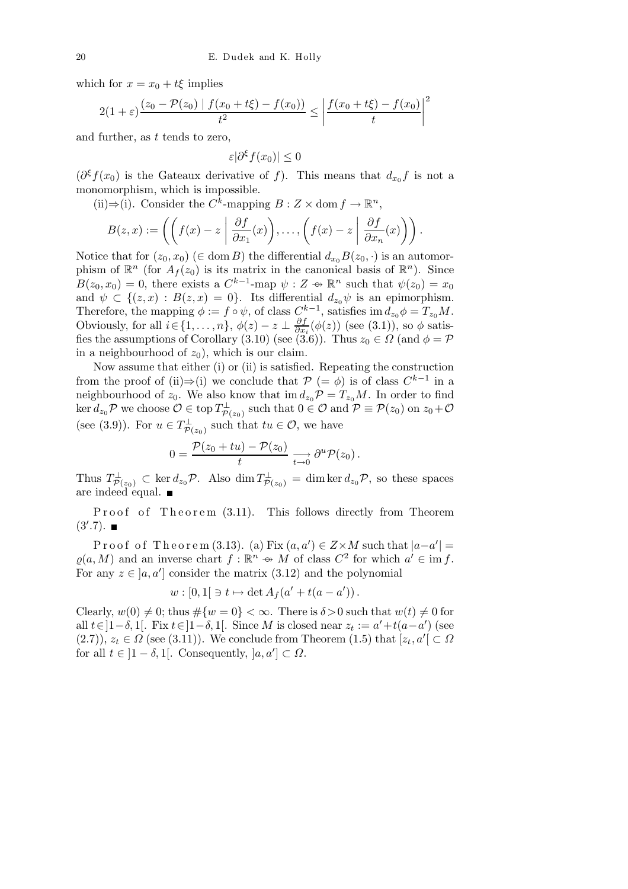which for  $x = x_0 + t\xi$  implies

$$
2(1+\varepsilon)\frac{(z_0-\mathcal{P}(z_0) \mid f(x_0+t\xi)-f(x_0))}{t^2} \leq \left|\frac{f(x_0+t\xi)-f(x_0)}{t}\right|^2
$$

and further, as  $t$  tends to zero,

$$
\varepsilon |\partial^{\xi} f(x_0)| \leq 0
$$

 $(\partial^{\xi} f(x_0))$  is the Gateaux derivative of f). This means that  $d_{x_0} f$  is not a monomorphism, which is impossible.

(ii)⇒(i). Consider the  $C^k$ -mapping  $B: Z \times$  dom  $f \to \mathbb{R}^n$ ,

$$
B(z,x) := \left( \left( f(x) - z \middle| \frac{\partial f}{\partial x_1}(x) \right), \ldots, \left( f(x) - z \middle| \frac{\partial f}{\partial x_n}(x) \right) \right).
$$

Notice that for  $(z_0, x_0)$  ( $\in$  dom B) the differential  $d_{x_0}B(z_0, \cdot)$  is an automorphism of  $\mathbb{R}^n$  (for  $A_f(z_0)$  is its matrix in the canonical basis of  $\mathbb{R}^n$ ). Since  $B(z_0, x_0) = 0$ , there exists a  $C^{k-1}$ -map  $\psi : Z \to \mathbb{R}^n$  such that  $\psi(z_0) = x_0$ and  $\psi \subset \{(z,x) : B(z,x) = 0\}$ . Its differential  $d_{z_0}\psi$  is an epimorphism. Therefore, the mapping  $\phi := f \circ \psi$ , of class  $C^{k-1}$ , satisfies im  $d_{z_0}\phi = T_{z_0}M$ . Obviously, for all  $i \in \{1, \ldots, n\}$ ,  $\phi(z) - z \perp \frac{\partial f}{\partial x}$  $\frac{\partial f}{\partial x_i}(\phi(z))$  (see (3.1)), so  $\phi$  satisfies the assumptions of Corollary (3.10) (see (3.6)). Thus  $z_0 \in \Omega$  (and  $\phi = \mathcal{P}$ in a neighbourhood of  $z_0$ ), which is our claim.

Now assume that either (i) or (ii) is satisfied. Repeating the construction from the proof of (ii)⇒(i) we conclude that  $P$  (=  $\phi$ ) is of class  $C^{k-1}$  in a neighbourhood of  $z_0$ . We also know that im  $d_{z_0}\mathcal{P} = T_{z_0}M$ . In order to find  $\ker d_{z_0} \mathcal{P}$  we choose  $\mathcal{O} \in \text{top } T^{\perp}_{\mathcal{P}(z_0)}$  such that  $0 \in \mathcal{O}$  and  $\mathcal{P} \equiv \mathcal{P}(z_0)$  on  $z_0 + \mathcal{O}$ (see (3.9)). For  $u \in T^{\perp}_{\mathcal{P}(z_0)}$  such that  $tu \in \mathcal{O}$ , we have

$$
0 = \frac{\mathcal{P}(z_0 + tu) - \mathcal{P}(z_0)}{t} \xrightarrow[t \to 0]{} \partial^u \mathcal{P}(z_0).
$$

Thus  $T^{\perp}_{\mathcal{P}(z_0)} \subset \ker d_{z_0} \mathcal{P}$ . Also  $\dim T^{\perp}_{\mathcal{P}(z_0)} = \dim \ker d_{z_0} \mathcal{P}$ , so these spaces are indeed equal.  $\blacksquare$ 

Proof of Theorem (3.11). This follows directly from Theorem  $(3^{\prime}.7).$ 

Proof of Theorem (3.13). (a) Fix  $(a, a') \in Z \times M$  such that  $|a-a'| =$  $\varrho(a,M)$  and an inverse chart  $f : \mathbb{R}^n \to M$  of class  $C^2$  for which  $a' \in \text{im } f$ . For any  $z \in [a, a']$  consider the matrix  $(3.12)$  and the polynomial

$$
w : [0,1[ \ni t \mapsto \det A_f(a' + t(a - a')).
$$

Clearly,  $w(0) \neq 0$ ; thus  $\#\{w = 0\} < \infty$ . There is  $\delta > 0$  such that  $w(t) \neq 0$  for all  $t \in ]1-\delta, 1[$ . Fix  $t \in ]1-\delta, 1[$ . Since M is closed near  $z_t := a' + t(a-a')$  (see  $(2.7)$ ,  $z_t \in \Omega$  (see (3.11)). We conclude from Theorem (1.5) that  $[z_t, a'] \subset \Omega$ for all  $t \in ]1-\delta,1[$ . Consequently,  $]a,a'] \subset \Omega$ .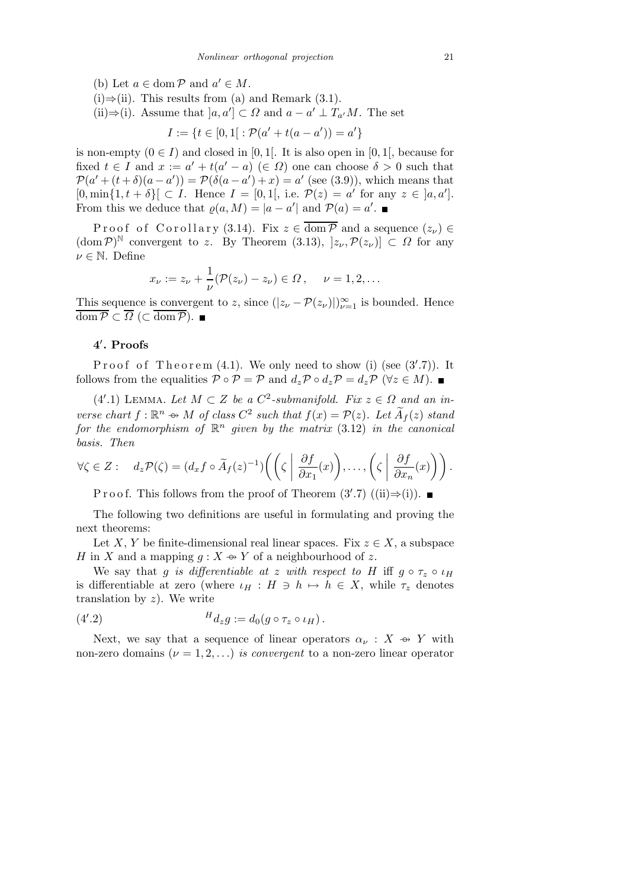- (b) Let  $a \in \text{dom } \mathcal{P}$  and  $a' \in M$ .
- (i)⇒(ii). This results from (a) and Remark  $(3.1)$ .
- (ii) $\Rightarrow$ (i). Assume that  $[a, a'] \subset \Omega$  and  $a a' \perp T_{a'}M$ . The set

$$
I := \{ t \in [0,1] : \mathcal{P}(a' + t(a - a')) = a' \}
$$

is non-empty  $(0 \in I)$  and closed in [0, 1]. It is also open in [0, 1], because for fixed  $t \in I$  and  $x := a' + t(a' - a) \in \Omega$  one can choose  $\delta > 0$  such that  $\mathcal{P}(a'+(t+\delta)(a-a')) = \mathcal{P}(\delta(a-a')+x) = a'$  (see (3.9)), which means that  $[0, \min\{1, t + \delta\}] \subset I$ . Hence  $I = [0, 1]$ , i.e.  $\mathcal{P}(z) = a'$  for any  $z \in [a, a']$ . From this we deduce that  $\varrho(a,M) = |a - a'|$  and  $\mathcal{P}(a) = a'$ .

Proof of Corollary (3.14). Fix  $z \in \overline{\text{dom }P}$  and a sequence  $(z_\nu) \in$  $(\text{dom } \mathcal{P})^{\mathbb{N}}$  convergent to z. By Theorem (3.13),  $]z_{\nu}, \mathcal{P}(z_{\nu})] \subset \Omega$  for any  $\nu \in \mathbb{N}$ . Define

$$
x_{\nu} := z_{\nu} + \frac{1}{\nu} (\mathcal{P}(z_{\nu}) - z_{\nu}) \in \Omega, \quad \nu = 1, 2, ...
$$

This sequence is convergent to z, since  $(|z_\nu - \mathcal{P}(z_\nu)|)_{\nu=1}^{\infty}$  is bounded. Hence  $\overline{\text{dom }\mathcal{P}} \subset \overline{\Omega} \ (\subset \overline{\text{dom }\mathcal{P}}).$ 

## 4 ′ . Proofs

Proof of Theorem  $(4.1)$ . We only need to show (i) (see  $(3'.7)$ ). It follows from the equalities  $\mathcal{P} \circ \mathcal{P} = \mathcal{P}$  and  $d_z \mathcal{P} \circ d_z \mathcal{P} = d_z \mathcal{P}$  ( $\forall z \in M$ ).

(4'.1) LEMMA. Let  $M \subset Z$  be a  $C^2$ -submanifold. Fix  $z \in \Omega$  and an inverse chart  $f : \mathbb{R}^n \to M$  of class  $C^2$  such that  $f(x) = \mathcal{P}(z)$ . Let  $\widetilde{A}_f(z)$  stand for the endomorphism of  $\mathbb{R}^n$  given by the matrix  $(3.12)$  in the canonical basis. Then

$$
\forall \zeta \in Z: \quad d_z \mathcal{P}(\zeta) = (d_x f \circ \widetilde{A}_f(z)^{-1}) \Big( \bigg( \zeta \mid \frac{\partial f}{\partial x_1}(x) \bigg), \dots, \bigg( \zeta \mid \frac{\partial f}{\partial x_n}(x) \bigg) \Big).
$$

P r o o f. This follows from the proof of Theorem  $(3', 7)$   $((ii) \Rightarrow (i)).$ 

The following two definitions are useful in formulating and proving the next theorems:

Let X, Y be finite-dimensional real linear spaces. Fix  $z \in X$ , a subspace H in X and a mapping  $g: X \rightarrow Y$  of a neighbourhood of z.

We say that g is differentiable at z with respect to H iff  $g \circ \tau_z \circ \iota_H$ is differentiable at zero (where  $\iota_H : H \ni h \mapsto h \in X$ , while  $\tau_z$  denotes translation by  $z$ ). We write

$$
(4'.2) \t\t\t H_{d_zg} := d_0(g \circ \tau_z \circ \iota_H).
$$

Next, we say that a sequence of linear operators  $\alpha_{\nu}: X \rightarrow Y$  with non-zero domains  $(\nu = 1, 2, \ldots)$  is convergent to a non-zero linear operator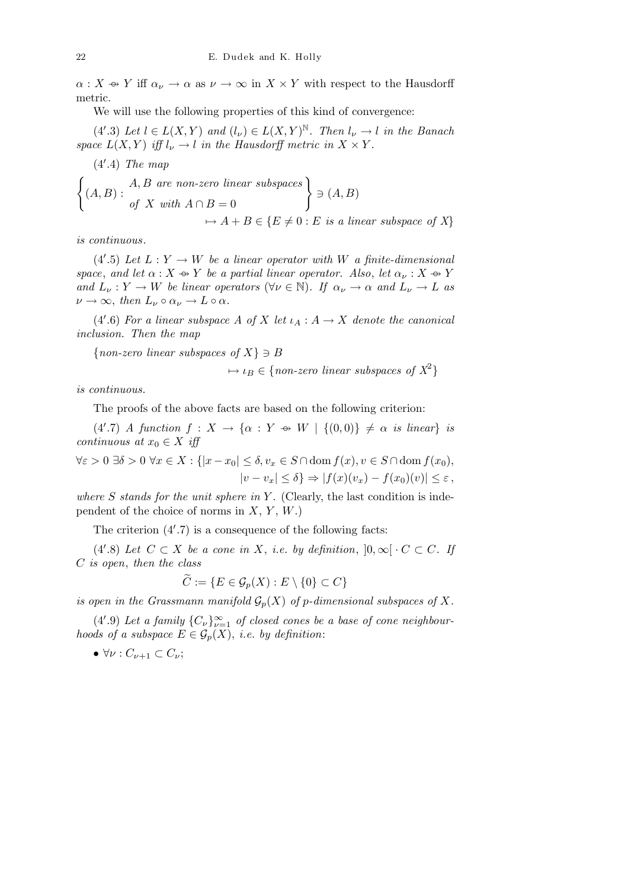$\alpha: X \rightsquigarrow Y$  iff  $\alpha_{\nu} \rightarrow \alpha$  as  $\nu \rightarrow \infty$  in  $X \times Y$  with respect to the Hausdorff metric.

We will use the following properties of this kind of convergence:

 $(4'.3)$  Let  $l \in L(X,Y)$  and  $(l_{\nu}) \in L(X,Y)^{\mathbb{N}}$ . Then  $l_{\nu} \to l$  in the Banach space  $L(X, Y)$  iff  $l_{\nu} \to l$  in the Hausdorff metric in  $X \times Y$ .

$$
\begin{cases}\n(4'.4) \text{ The map } \\
(A, B) : \text{ of } X \text{ with } A \cap B = 0 \\
\mapsto A + B \in \{E \neq 0 : E \text{ is a linear subspace of } X\}\n\end{cases}
$$

is continuous.

(4'.5) Let  $L: Y \to W$  be a linear operator with W a finite-dimensional space, and let  $\alpha: X \oplus Y$  be a partial linear operator. Also, let  $\alpha_{\nu}: X \oplus Y$ and  $L_{\nu}: Y \to W$  be linear operators  $(\forall \nu \in \mathbb{N})$ . If  $\alpha_{\nu} \to \alpha$  and  $L_{\nu} \to L$  as  $\nu \to \infty$ , then  $L_{\nu} \circ \alpha_{\nu} \to L \circ \alpha$ .

(4'.6) For a linear subspace A of X let  $\iota_A : A \to X$  denote the canonical inclusion. Then the map

 $\{non-zero\ linear\ subspaces\ of\ X\} \ni B$ 

 $\mapsto \iota_B \in \{non-zero\ linear\ subspaces\ of\ X^2\}$ 

is continuous.

The proofs of the above facts are based on the following criterion:

 $(4'.7)$  A function  $f: X \to \{\alpha : Y \Leftrightarrow W \mid \{(0,0)\}\neq \alpha \text{ is linear}\}\$ is continuous at  $x_0 \in X$  iff

 $\forall \varepsilon > 0 \,\exists \delta > 0 \,\forall x \in X : \{|x - x_0| \leq \delta, v_x \in S \cap \text{dom } f(x), v \in S \cap \text{dom } f(x_0),\}$  $|v - v_x| \leq \delta$   $\Rightarrow$   $|f(x)(v_x) - f(x_0)(v)| \leq \varepsilon$ ,

where  $S$  stands for the unit sphere in  $Y$ . (Clearly, the last condition is independent of the choice of norms in  $X, Y, W$ .)

The criterion  $(4'.7)$  is a consequence of the following facts:

(4'.8) Let  $C \subset X$  be a cone in X, i.e. by definition,  $]0, \infty[ \cdot C \subset C$ . If C is open, then the class

$$
\widetilde{C} := \{ E \in \mathcal{G}_p(X) : E \setminus \{0\} \subset C \}
$$

is open in the Grassmann manifold  $\mathcal{G}_p(X)$  of p-dimensional subspaces of X.

(4'.9) Let a family  ${C_{\nu}}_{\nu=1}^{\infty}$  of closed cones be a base of cone neighbourhoods of a subspace  $E \in \mathcal{G}_p(X)$ , i.e. by definition:

•  $\forall \nu : C_{\nu+1} \subset C_{\nu};$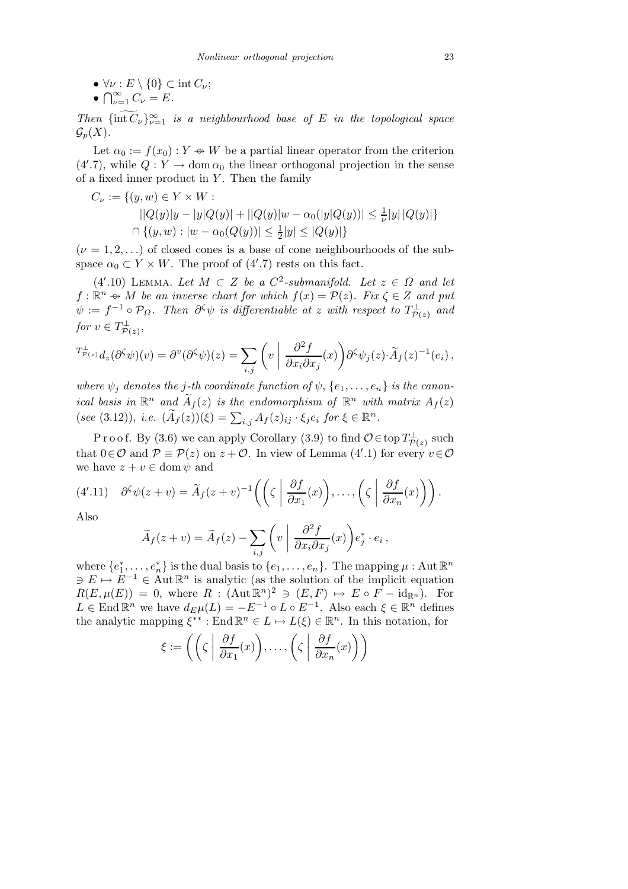•  $\forall \nu : E \setminus \{0\} \subset \text{int } C_{\nu};$ <br>•  $\bigcap_{\alpha=1}^{\infty} C_{\nu} = E.$ 

$$
\bullet \bigcap_{\nu=1}^{\infty} C_{\nu} = E.
$$

Then  ${\{\text{int}\,\overline{C}_\nu\}}_{\nu=1}^\infty$  is a neighbourhood base of E in the topological space  $\mathcal{G}_p(X)$ .

Let  $\alpha_0 := f(x_0) : Y \to W$  be a partial linear operator from the criterion  $(4'.7)$ , while  $Q: Y \to \text{dom } \alpha_0$  the linear orthogonal projection in the sense of a fixed inner product in  $Y$ . Then the family

$$
C_{\nu} := \{(y, w) \in Y \times W : |Q(y)|y - |y|Q(y)| + ||Q(y)|w - \alpha_0(|y|Q(y))| \le \frac{1}{\nu}|y||Q(y)|\}
$$
  

$$
\cap \{(y, w) : |w - \alpha_0(Q(y))| \le \frac{1}{2}|y| \le |Q(y)|\}
$$

 $(\nu = 1, 2, \ldots)$  of closed cones is a base of cone neighbourhoods of the subspace  $\alpha_0 \subset Y \times W$ . The proof of  $(4'.7)$  rests on this fact.

(4'.10) LEMMA. Let  $M \subset Z$  be a  $C^2$ -submanifold. Let  $z \in \Omega$  and let  $f: \mathbb{R}^n \to M$  be an inverse chart for which  $f(x) = \mathcal{P}(z)$ . Fix  $\zeta \in Z$  and put  $\psi:=f^{-1}\circ\mathcal{P}_\Omega.$  Then  $\partial^\zeta\psi$  is differentiable at z with respect to  $T_{\mathcal{P}(z)}^\perp$  and for  $v \in T_{\mathcal{P}(z)}^{\perp}$ ,

$$
T^{\perp}_{\mathcal{P}(z)} d_z(\partial^{\zeta} \psi)(v) = \partial^v (\partial^{\zeta} \psi)(z) = \sum_{i,j} \left( v \left| \frac{\partial^2 f}{\partial x_i \partial x_j}(x) \right) \partial^{\zeta} \psi_j(z) \cdot \widetilde{A}_f(z)^{-1}(e_i) \right),
$$

where  $\psi_i$  denotes the j-th coordinate function of  $\psi$ ,  $\{e_1,\ldots,e_n\}$  is the canonical basis in  $\mathbb{R}^n$  and  $\widetilde{A}_f(z)$  is the endomorphism of  $\mathbb{R}^n$  with matrix  $A_f(z)$ (see (3.12)), i.e.  $(\widetilde{A}_f(z))(\xi) = \sum_{i,j} A_f(z)_{ij} \cdot \xi_j e_i$  for  $\xi \in \mathbb{R}^n$ .

Proof. By (3.6) we can apply Corollary (3.9) to find  $\mathcal{O} \in$  top  $T_{\mathcal{P}(z)}^{\perp}$  such that  $0 \in \mathcal{O}$  and  $\mathcal{P} \equiv \mathcal{P}(z)$  on  $z + \mathcal{O}$ . In view of Lemma (4'.1) for every  $v \in \mathcal{O}$ we have  $z + v \in \text{dom } \psi$  and

(4'.11) 
$$
\partial^{\zeta} \psi(z+v) = \widetilde{A}_f(z+v)^{-1} \left( \left( \zeta \left| \frac{\partial f}{\partial x_1}(x) \right), \dots, \left( \zeta \left| \frac{\partial f}{\partial x_n}(x) \right) \right. \right) .
$$

Also

$$
\widetilde{A}_f(z+v) = \widetilde{A}_f(z) - \sum_{i,j} \left( v \mid \frac{\partial^2 f}{\partial x_i \partial x_j}(x) \right) e_j^* \cdot e_i,
$$

where  $\{e_1^*,\ldots,e_n^*\}$  is the dual basis to  $\{e_1,\ldots,e_n\}$ . The mapping  $\mu$  : Aut  $\mathbb{R}^n$  $\exists E \mapsto E^{-1} \in \text{Aut } \mathbb{R}^n$  is analytic (as the solution of the implicit equation  $R(E, \mu(E)) = 0$ , where  $R : (\text{Aut}\,\mathbb{R}^n)^2 \ni (E, F) \mapsto E \circ F - \text{id}_{\mathbb{R}^n}$ . For  $L \in \text{End } \mathbb{R}^n$  we have  $d_E \mu(L) = -E^{-1} \circ L \circ E^{-1}$ . Also each  $\xi \in \mathbb{R}^n$  defines the analytic mapping  $\xi^{**}$ : End  $\mathbb{R}^n \in L \mapsto L(\xi) \in \mathbb{R}^n$ . In this notation, for

$$
\xi := \left( \left( \zeta \left| \frac{\partial f}{\partial x_1}(x) \right), \ldots, \left( \zeta \left| \frac{\partial f}{\partial x_n}(x) \right) \right) \right)
$$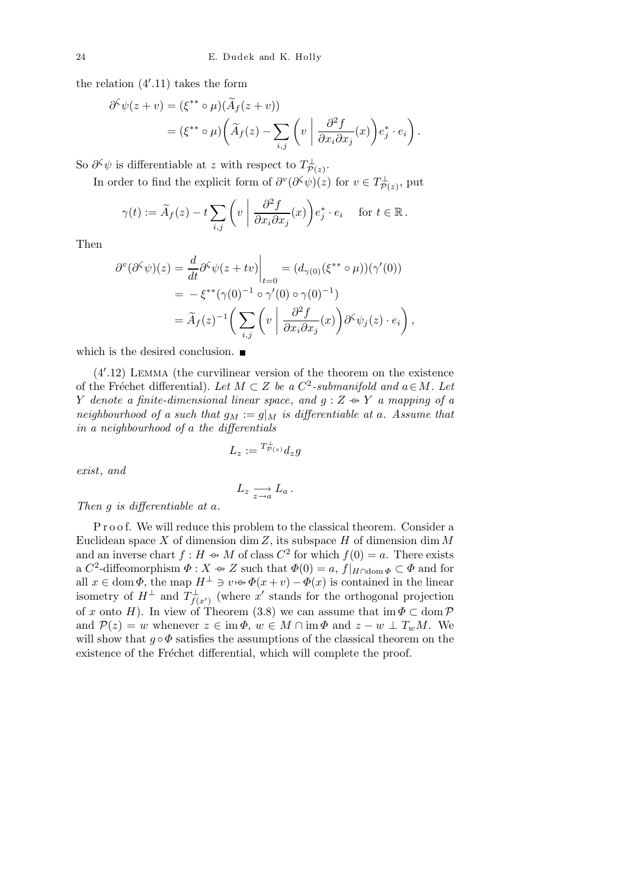the relation (4′ .11) takes the form

$$
\partial^{\zeta} \psi(z+v) = (\xi^{**} \circ \mu)(\widetilde{A}_f(z+v))
$$
  
= 
$$
(\xi^{**} \circ \mu)(\widetilde{A}_f(z) - \sum_{i,j} \left( v \mid \frac{\partial^2 f}{\partial x_i \partial x_j}(x) \right) e_j^* \cdot e_i).
$$

So  $\partial^{\zeta}\psi$  is differentiable at z with respect to  $T^{\perp}_{\mathcal{P}(z)}$ .

In order to find the explicit form of  $\partial^v(\partial^{\zeta}\psi)(z)$  for  $v \in T^{\perp}_{\mathcal{P}(z)}$ , put

$$
\gamma(t) := \widetilde{A}_f(z) - t \sum_{i,j} \left( v \mid \frac{\partial^2 f}{\partial x_i \partial x_j}(x) \right) e_j^* \cdot e_i \quad \text{ for } t \in \mathbb{R}.
$$

Then

$$
\partial^v(\partial^{\zeta}\psi)(z) = \frac{d}{dt}\partial^{\zeta}\psi(z+tv)\Big|_{t=0} = (d_{\gamma(0)}(\xi^{**}\circ\mu))(\gamma'(0))
$$
  
=  $-\xi^{**}(\gamma(0)^{-1}\circ\gamma'(0)\circ\gamma(0)^{-1})$   
=  $\widetilde{A}_f(z)^{-1}\bigg(\sum_{i,j}\left(v\bigg|\frac{\partial^2 f}{\partial x_i \partial x_j}(x)\right)\partial^{\zeta}\psi_j(z)\cdot e_i\bigg),$ 

which is the desired conclusion.  $\blacksquare$ 

(4′ .12) Lemma (the curvilinear version of the theorem on the existence of the Fréchet differential). Let  $M \subset Z$  be a  $C^2$ -submanifold and  $a \in M$ . Let Y denote a finite-dimensional linear space, and  $g: Z \rightarrow Y$  a mapping of a neighbourhood of a such that  $g_M := g|_M$  is differentiable at a. Assume that in a neighbourhood of a the differentials

$$
L_z:= {}^{T^{\perp}_{\mathcal{P}(z)}} d_z g
$$

exist, and

$$
L_z \xrightarrow[z \to a]{} L_a.
$$

Then g is differentiable at a.

P r o o f. We will reduce this problem to the classical theorem. Consider a Euclidean space X of dimension dim Z, its subspace  $H$  of dimension dim M and an inverse chart  $f : H \to M$  of class  $C^2$  for which  $f(0) = a$ . There exists a  $C^2$ -diffeomorphism  $\Phi: X \to Z$  such that  $\Phi(0) = a, f|_{H \cap \text{dom } \Phi} \subset \Phi$  and for all  $x \in \text{dom }\Phi$ , the map  $H^{\perp} \ni v \mapsto \Phi(x+v) - \Phi(x)$  is contained in the linear isometry of  $H^{\perp}$  and  $T^{\perp}_{f(x')}$  (where x' stands for the orthogonal projection of x onto H). In view of Theorem (3.8) we can assume that  $\text{im}\,\Phi\subset\text{dom}\,\mathcal{P}$ and  $\mathcal{P}(z) = w$  whenever  $z \in \text{im}\,\Phi$ ,  $w \in M \cap \text{im}\,\Phi$  and  $z - w \perp T_wM$ . We will show that  $q \circ \Phi$  satisfies the assumptions of the classical theorem on the existence of the Fréchet differential, which will complete the proof.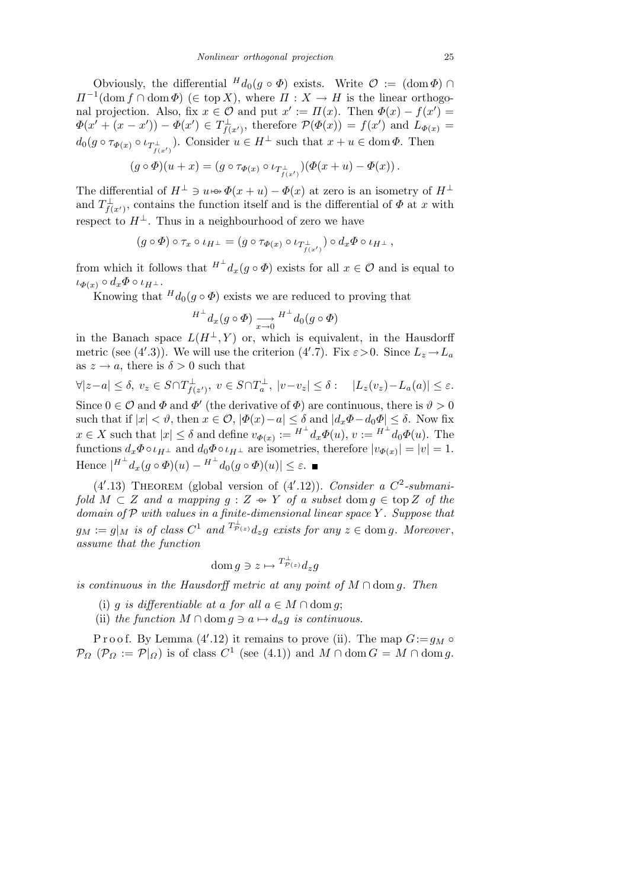Obviously, the differential  $^H d_0(g \circ \Phi)$  exists. Write  $\mathcal{O} := (\text{dom }\Phi) \cap$  $\Pi^{-1}(\text{dom } f \cap \text{dom } \Phi) \ (\in \text{top } X)$ , where  $\Pi : X \to H$  is the linear orthogonal projection. Also, fix  $x \in \mathcal{O}$  and put  $x' := \Pi(x)$ . Then  $\Phi(x) - f(x') =$  $\Phi(x' + (x - x')) - \Phi(x') \in T^{\perp}_{f(x')}$ , therefore  $\mathcal{P}(\Phi(x)) = f(x')$  and  $L_{\Phi(x)} =$  $d_0(g \circ \tau_{\Phi(x)} \circ \iota_{T^{\perp}_{f(x')}})$ . Consider  $u \in H^{\perp}$  such that  $x + u \in \text{dom }\Phi$ . Then

$$
(g\circ\Phi)(u+x)=(g\circ\tau_{\Phi(x)}\circ\iota_{T^{\perp}_{f(x')}})(\Phi(x+u)-\Phi(x)).
$$

The differential of  $H^{\perp} \ni u \mapsto \Phi(x+u) - \Phi(x)$  at zero is an isometry of  $H^{\perp}$ and  $T_{f(x')}^{\perp}$ , contains the function itself and is the differential of  $\Phi$  at x with respect to  $H^{\perp}$ . Thus in a neighbourhood of zero we have

$$
(g \circ \Phi) \circ \tau_x \circ \iota_{H^\perp} = (g \circ \tau_{\Phi(x)} \circ \iota_{T_{f(x')}^\perp}) \circ d_x \Phi \circ \iota_{H^\perp},
$$

from which it follows that  $H^{\perp} d_x(g \circ \Phi)$  exists for all  $x \in \mathcal{O}$  and is equal to  $\iota_{\Phi(x)} \circ d_x \Phi \circ \iota_{H^{\perp}}.$ 

Knowing that  $H_{d_0}(g \circ \Phi)$  exists we are reduced to proving that

$$
{}^{H^\perp} d_x(g \circ \varPhi) \underset{x \to 0}{\longrightarrow} {}^{H^\perp} d_0(g \circ \varPhi)
$$

in the Banach space  $L(H^{\perp}, Y)$  or, which is equivalent, in the Hausdorff metric (see (4'.3)). We will use the criterion (4'.7). Fix  $\varepsilon > 0$ . Since  $L_z \to L_a$ as  $z \to a$ , there is  $\delta > 0$  such that

$$
\forall |z-a| \leq \delta, \ v_z \in S \cap T_{f(z')}^{\perp}, \ v \in S \cap T_a^{\perp}, \ |v-v_z| \leq \delta : \quad |L_z(v_z) - L_a(a)| \leq \varepsilon.
$$

Since  $0 \in \mathcal{O}$  and  $\Phi$  and  $\Phi'$  (the derivative of  $\Phi$ ) are continuous, there is  $\vartheta > 0$ such that if  $|x| < \vartheta$ , then  $x \in \mathcal{O}$ ,  $|\varPhi(x) - a| \leq \delta$  and  $|d_x \varPhi - d_0 \varPhi| \leq \delta$ . Now fix  $x \in X$  such that  $|x| \leq \delta$  and define  $v_{\Phi(x)} := H^{\perp} d_x \Phi(u), v := H^{\perp} d_0 \Phi(u)$ . The functions  $d_x \Phi \circ \iota_{H^{\perp}}$  and  $d_0 \Phi \circ \iota_{H^{\perp}}$  are isometries, therefore  $|v_{\Phi(x)}| = |v| = 1$ . Hence  $|^{H^{\perp}} d_x(g \circ \Phi)(u) - {^{H^{\perp}}} d_0(g \circ \Phi)(u)| \leq \varepsilon.$ 

(4'.13) THEOREM (global version of  $(4'.12)$ ). Consider a C<sup>2</sup>-submanifold  $M \subset Z$  and a mapping  $g: Z \rightarrow Y$  of a subset dom  $g \in \text{top } Z$  of the domain of  $P$  with values in a finite-dimensional linear space Y. Suppose that  $g_M := g|_M$  is of class  $C^1$  and  $T^{\perp}_{\mathcal{P}(z)} d_z g$  exists for any  $z \in \text{dom } g$ . Moreover, assume that the function

$$
\operatorname{dom} g \ni z \mapsto {}^{T^{\perp}_{\mathcal{P}(z)}} d_z g
$$

is continuous in the Hausdorff metric at any point of  $M \cap \text{dom } q$ . Then

- (i) g is differentiable at a for all  $a \in M \cap \text{dom } q$ ;
- (ii) the function  $M \cap \text{dom } q \ni a \mapsto d_a q$  is continuous.

P r o o f. By Lemma  $(4'.12)$  it remains to prove (ii). The map  $G:=g_M \circ$  $\mathcal{P}_{\Omega}$  ( $\mathcal{P}_{\Omega} := \mathcal{P}|_{\Omega}$ ) is of class  $C^1$  (see (4.1)) and  $M \cap \text{dom } G = M \cap \text{dom } g$ .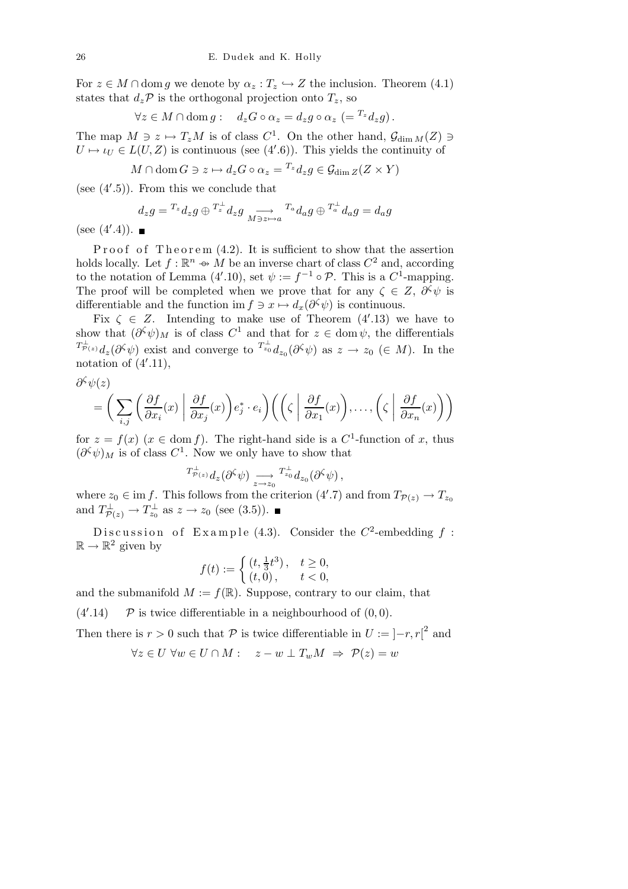For  $z \in M \cap \text{dom } g$  we denote by  $\alpha_z : T_z \hookrightarrow Z$  the inclusion. Theorem (4.1) states that  $d_z \mathcal{P}$  is the orthogonal projection onto  $T_z$ , so

$$
\forall z \in M \cap \text{dom } g: \quad d_z G \circ \alpha_z = d_z g \circ \alpha_z \ \left(= {}^{T_z} d_z g\right).
$$

The map  $M \ni z \mapsto T_zM$  is of class  $C^1$ . On the other hand,  $\mathcal{G}_{\dim M}(Z) \ni$  $U \mapsto \iota_U \in L(U, Z)$  is continuous (see (4'.6)). This yields the continuity of

$$
M \cap \text{dom}\, G \ni z \mapsto d_z G \circ \alpha_z = {}^{T_z} d_z g \in \mathcal{G}_{\text{dim}\, Z}(Z \times Y)
$$

(see (4′ .5)). From this we conclude that

$$
d_z g = {}^{T_z} d_z g \oplus {}^{T_z^{\perp}} d_z g \underset{M \ni z \mapsto a}{\longrightarrow} {}^{T_a} d_a g \oplus {}^{T_a^{\perp}} d_a g = d_a g
$$

(see (4′ .4)).

Proof of Theorem  $(4.2)$ . It is sufficient to show that the assertion holds locally. Let  $f : \mathbb{R}^n \to M$  be an inverse chart of class  $C^2$  and, according to the notation of Lemma (4'.10), set  $\psi := f^{-1} \circ \mathcal{P}$ . This is a  $C^1$ -mapping. The proof will be completed when we prove that for any  $\zeta \in Z$ ,  $\partial^{\zeta} \psi$  is differentiable and the function im  $f \ni x \mapsto d_x(\partial^{\zeta} \psi)$  is continuous.

Fix  $\zeta \in Z$ . Intending to make use of Theorem (4'.13) we have to show that  $(\partial^{\zeta}\psi)_M$  is of class  $C^1$  and that for  $z \in \text{dom }\psi$ , the differentials  ${}^{T_{\mathcal{P}(z)}^{\perp}}d_z(\partial^{\zeta}\psi)$  exist and converge to  ${}^{T_{z_0}^{\perp}}d_{z_0}(\partial^{\zeta}\psi)$  as  $z \to z_0 \ (\in M)$ . In the notation of  $(4'.11)$ ,

$$
\partial^\zeta \psi(z)
$$

$$
= \bigg(\sum_{i,j} \bigg(\frac{\partial f}{\partial x_i}(x) \bigg| \frac{\partial f}{\partial x_j}(x)\bigg) e_j^* \cdot e_i\bigg) \bigg(\bigg(\zeta \bigg| \frac{\partial f}{\partial x_1}(x)\bigg), \dots, \bigg(\zeta \bigg| \frac{\partial f}{\partial x_n}(x)\bigg)\bigg)
$$

for  $z = f(x)$   $(x \in \text{dom } f)$ . The right-hand side is a  $C^1$ -function of x, thus  $(\partial^{\zeta}\psi)_M$  is of class  $C^1$ . Now we only have to show that

$$
^{T_{\mathcal{P}(z)}^\perp} d_z(\partial^\zeta \psi) \underset{z\to z_0}{\longrightarrow} {^{T_{z_0}^\perp}} d_{z_0}(\partial^\zeta \psi) \,,
$$

where  $z_0 \in \text{im } f$ . This follows from the criterion  $(4'.7)$  and from  $T_{\mathcal{P}(z)} \to T_{z_0}$ and  $T_{\mathcal{P}(z)}^{\perp} \to T_{z_0}^{\perp}$  as  $z \to z_0$  (see (3.5)).

Discussion of Example (4.3). Consider the  $C^2$ -embedding  $f$ :  $\mathbb{R} \to \mathbb{R}^2$  given by

$$
f(t) := \begin{cases} (t, \frac{1}{3}t^3), & t \ge 0, \\ (t, 0), & t < 0, \end{cases}
$$

and the submanifold  $M := f(\mathbb{R})$ . Suppose, contrary to our claim, that

 $(4^{\prime}.14)$  $\mathcal P$  is twice differentiable in a neighbourhood of  $(0, 0)$ .

Then there is  $r > 0$  such that  $P$  is twice differentiable in  $U := [-r, r]^2$  and

$$
\forall z \in U \ \forall w \in U \cap M : \quad z - w \perp T_w M \ \Rightarrow \ \mathcal{P}(z) = w
$$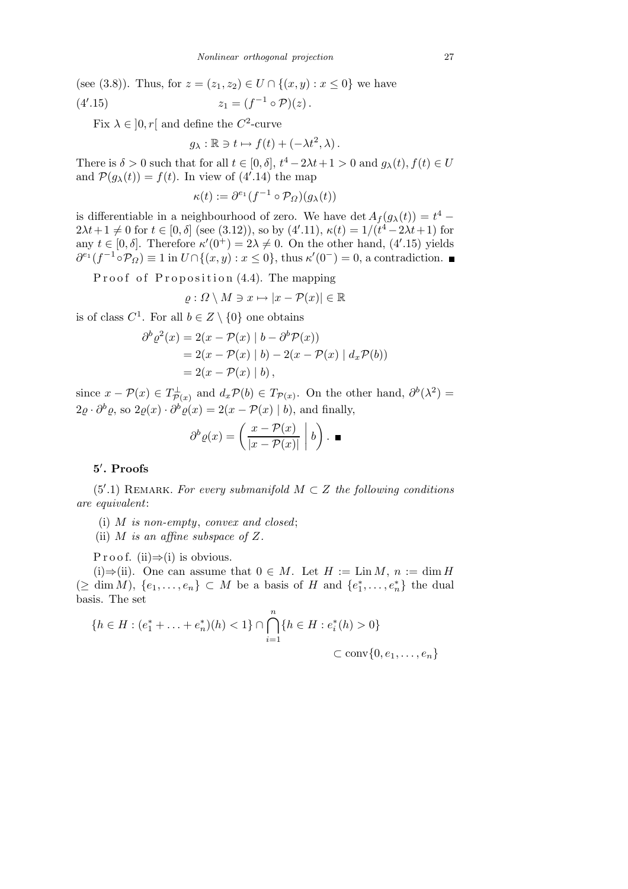(see (3.8)). Thus, for  $z = (z_1, z_2) \in U \cap \{(x, y) : x \leq 0\}$  we have  $(4', 15)$ .15)  $z_1 = (f^{-1} \circ \mathcal{P})(z)$ .

Fix  $\lambda \in ]0, r[$  and define the  $C^2$ -curve

$$
g_{\lambda} : \mathbb{R} \ni t \mapsto f(t) + (-\lambda t^2, \lambda).
$$

There is  $\delta > 0$  such that for all  $t \in [0, \delta], t^4 - 2\lambda t + 1 > 0$  and  $g_{\lambda}(t), f(t) \in U$ and  $P(g_{\lambda}(t)) = f(t)$ . In view of (4'.14) the map

$$
\kappa(t) := \partial^{e_1} (f^{-1} \circ \mathcal{P}_{\Omega})(g_{\lambda}(t))
$$

is differentiable in a neighbourhood of zero. We have  $\det A_f(g_\lambda(t)) = t^4$  –  $2\lambda t + 1 \neq 0$  for  $t \in [0, \delta]$  (see (3.12)), so by (4'.11),  $\kappa(t) = 1/(t^4 - 2\lambda t + 1)$  for any  $t \in [0, \delta]$ . Therefore  $\kappa'(0^+) = 2\lambda \neq 0$ . On the other hand, (4'.15) yields  $\partial^{e_1}(f^{-1} \circ \mathcal{P}_{\Omega}) \equiv 1$  in  $U \cap \{(x, y) : x \leq 0\}$ , thus  $\kappa'(0^-) = 0$ , a contradiction.

Proof of Proposition (4.4). The mapping

$$
\varrho: \Omega \setminus M \ni x \mapsto |x - \mathcal{P}(x)| \in \mathbb{R}
$$

is of class  $C^1$ . For all  $b \in Z \setminus \{0\}$  one obtains

$$
\partial^b \varrho^2(x) = 2(x - \mathcal{P}(x) | b - \partial^b \mathcal{P}(x))
$$
  
= 2(x - \mathcal{P}(x) | b) - 2(x - \mathcal{P}(x) | d\_x \mathcal{P}(b))  
= 2(x - \mathcal{P}(x) | b),

since  $x - P(x) \in T^{\perp}_{\mathcal{P}(x)}$  and  $d_x P(b) \in T_{\mathcal{P}(x)}$ . On the other hand,  $\partial^b(\lambda^2) =$  $2\varrho \cdot \partial^b \varrho$ , so  $2\varrho(x) \cdot \partial^b \varrho(x) = 2(x - \mathcal{P}(x) \mid b)$ , and finally,

$$
\partial^b \varrho(x) = \left( \frac{x - \mathcal{P}(x)}{|x - \mathcal{P}(x)|} \middle| b \right). \blacksquare
$$

## 5 ′ . Proofs

 $(5'.1)$  REMARK. For every submanifold  $M \subset Z$  the following conditions are equivalent:

(i) M is non-empty, convex and closed;

(ii) M is an affine subspace of  $Z$ .

P r o o f. (ii)  $\Rightarrow$  (i) is obvious.

(i)⇒(ii). One can assume that  $0 \in M$ . Let  $H := \text{Lin } M$ ,  $n := \dim H$  $(\geq \dim M), \{e_1, \ldots, e_n\} \subset M$  be a basis of H and  $\{e_1^*, \ldots, e_n^*\}$  the dual basis. The set

$$
\{h \in H : (e_1^* + \ldots + e_n^*)(h) < 1\} \cap \bigcap_{i=1}^n \{h \in H : e_i^*(h) > 0\}
$$
\n
$$
\subset \text{conv}\{0, e_1, \ldots, e_n\}
$$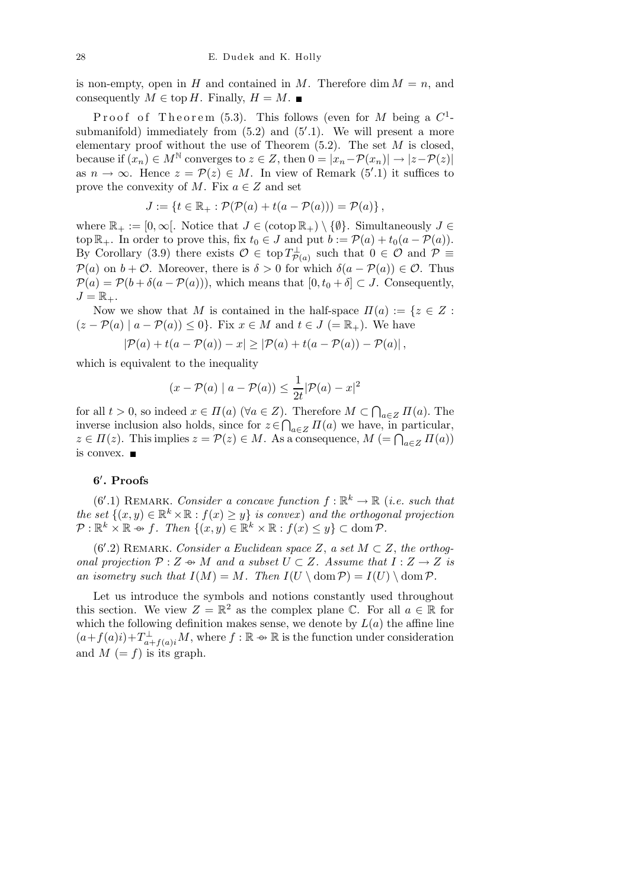is non-empty, open in H and contained in M. Therefore dim  $M = n$ , and consequently  $M \in \text{top } H$ . Finally,  $H = M$ .

Proof of Theorem (5.3). This follows (even for M being a  $C^1$ submanifold) immediately from  $(5.2)$  and  $(5'.1)$ . We will present a more elementary proof without the use of Theorem  $(5.2)$ . The set M is closed, because if  $(x_n) \in M^{\mathbb{N}}$  converges to  $z \in Z$ , then  $0 = |x_n - \mathcal{P}(x_n)| \to |z - \mathcal{P}(z)|$ as  $n \to \infty$ . Hence  $z = \mathcal{P}(z) \in M$ . In view of Remark (5'.1) it suffices to prove the convexity of M. Fix  $a \in \mathbb{Z}$  and set

$$
J := \{t \in \mathbb{R}_+ : \mathcal{P}(\mathcal{P}(a) + t(a - \mathcal{P}(a))) = \mathcal{P}(a)\},\,
$$

where  $\mathbb{R}_+ := [0, \infty]$ . Notice that  $J \in (\cotop \mathbb{R}_+) \setminus \{\emptyset\}$ . Simultaneously  $J \in$ top  $\mathbb{R}_+$ . In order to prove this, fix  $t_0 \in J$  and put  $b := \mathcal{P}(a) + t_0(a - \mathcal{P}(a))$ . By Corollary (3.9) there exists  $\mathcal{O} \in \text{top } T^{\perp}_{\mathcal{P}(a)}$  such that  $0 \in \mathcal{O}$  and  $\mathcal{P} \equiv$  $P(a)$  on  $b + \mathcal{O}$ . Moreover, there is  $\delta > 0$  for which  $\delta(a - P(a)) \in \mathcal{O}$ . Thus  $\mathcal{P}(a) = \mathcal{P}(b + \delta(a - \mathcal{P}(a)))$ , which means that  $[0, t_0 + \delta] \subset J$ . Consequently,  $J=\mathbb{R}_{+}.$ 

Now we show that M is contained in the half-space  $\Pi(a) := \{z \in Z :$  $(z - P(a) | a - P(a)) \leq 0$ . Fix  $x \in M$  and  $t \in J (= \mathbb{R}_{+})$ . We have

$$
|\mathcal{P}(a) + t(a - \mathcal{P}(a)) - x| \geq |\mathcal{P}(a) + t(a - \mathcal{P}(a)) - \mathcal{P}(a)|,
$$

which is equivalent to the inequality

$$
(x - P(a) | a - P(a)) \le \frac{1}{2t} |P(a) - x|^2
$$

for all  $t > 0$ , so indeed  $x \in \Pi(a)$  ( $\forall a \in \mathbb{Z}$ ). Therefore  $M \subset \bigcap_{a \in \mathbb{Z}} \Pi(a)$ . The inverse inclusion also holds, since for  $z \in \bigcap_{a \in Z} \Pi(a)$  we have, in particular,  $z \in \Pi(z)$ . This implies  $z = \mathcal{P}(z) \in M$ . As a consequence,  $M = \bigcap_{a \in Z} \Pi(a)$ is convex.

## 6 ′ . Proofs

 $(6'.1)$  REMARK. Consider a concave function  $f : \mathbb{R}^k \to \mathbb{R}$  (i.e. such that the set  $\{(x,y)\in\mathbb{R}^k\times\mathbb{R}: f(x)\geq y\}$  is convex) and the orthogonal projection  $\mathcal{P}: \mathbb{R}^k \times \mathbb{R} \rightarrow f$ . Then  $\{(x, y) \in \mathbb{R}^k \times \mathbb{R} : f(x) \leq y\} \subset \text{dom } \mathcal{P}$ .

 $(6'.2)$  REMARK. Consider a Euclidean space Z, a set  $M \subset Z$ , the orthogonal projection  $P: Z \rightarrow M$  and a subset  $U \subset Z$ . Assume that  $I: Z \rightarrow Z$  is an isometry such that  $I(M) = M$ . Then  $I(U \setminus \text{dom } \mathcal{P}) = I(U) \setminus \text{dom } \mathcal{P}$ .

Let us introduce the symbols and notions constantly used throughout this section. We view  $Z = \mathbb{R}^2$  as the complex plane C. For all  $a \in \mathbb{R}$  for which the following definition makes sense, we denote by  $L(a)$  the affine line  $(a+f(a)i)+T_{a+f(a)i}^{\perp}M$ , where  $f:\mathbb{R}\to\mathbb{R}$  is the function under consideration and  $M (= f)$  is its graph.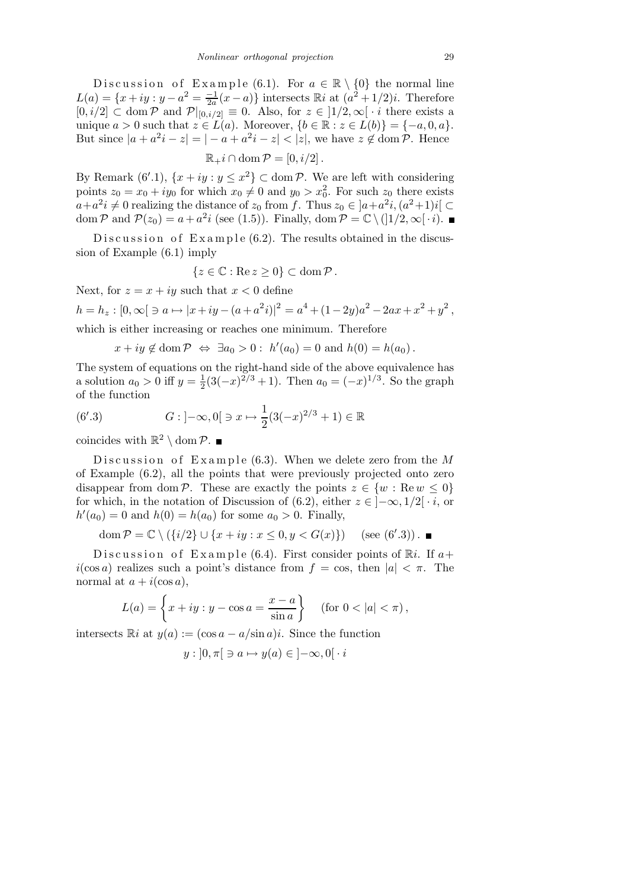Discussion of Example (6.1). For  $a \in \mathbb{R} \setminus \{0\}$  the normal line  $L(a) = \{x + iy : y - a^2 = \frac{-1}{2a}\}$  $\frac{-1}{2a}(x-a)$  intersects  $\mathbb{R}i$  at  $(a^2+1/2)i$ . Therefore  $[0,i/2] \subset \text{dom } \mathcal{P}$  and  $\mathcal{P}|_{[0,i/2]} \equiv 0$ . Also, for  $z \in [1/2,\infty[ \cdot i]$  there exists a unique  $a > 0$  such that  $z \in L(a)$ . Moreover,  $\{b \in \mathbb{R} : z \in L(b)\} = \{-a, 0, a\}.$ But since  $|a + a^2i - z| = |-a + a^2i - z| < |z|$ , we have  $z \notin \text{dom } \mathcal{P}$ . Hence

 $\mathbb{R}_{+}i \cap \text{dom}\,\mathcal{P} = [0,i/2]$ .

By Remark  $(6'.1)$ ,  $\{x+iy : y \leq x^2\} \subset \text{dom }\mathcal{P}$ . We are left with considering points  $z_0 = x_0 + iy_0$  for which  $x_0 \neq 0$  and  $y_0 > x_0^2$ . For such  $z_0$  there exists  $a+a^2i\neq 0$  realizing the distance of  $z_0$  from f. Thus  $z_0 \in ]a+a^2i,(a^2+1)i[$ dom  $P$  and  $P(z_0) = a + a^2 i$  (see (1.5)). Finally, dom  $P = \mathbb{C} \setminus (]1/2, \infty[ \cdot i).$ 

D is cussion of  $Example(6.2)$ . The results obtained in the discussion of Example (6.1) imply

$$
\{z\in\mathbb{C}:\text{Re}\,z\geq 0\}\subset\text{dom}\,\mathcal{P}\,.
$$

Next, for  $z = x + iy$  such that  $x < 0$  define

 $h = h_z : [0, \infty[ \ni a \mapsto |x+iy - (a+a^2i)|^2 = a^4 + (1-2y)a^2 - 2ax + x^2 + y^2,$ 

which is either increasing or reaches one minimum. Therefore

 $x + iy \notin \text{dom } \mathcal{P} \iff \exists a_0 > 0 : h'(a_0) = 0 \text{ and } h(0) = h(a_0).$ 

The system of equations on the right-hand side of the above equivalence has a solution  $a_0 > 0$  iff  $y = \frac{1}{2}$  $\frac{1}{2}(3(-x)^{2/3}+1)$ . Then  $a_0=(-x)^{1/3}$ . So the graph of the function

(6'.3) 
$$
G: ]-\infty, 0[ \ni x \mapsto \frac{1}{2}(3(-x)^{2/3}+1) \in \mathbb{R}
$$

coincides with  $\mathbb{R}^2 \setminus \text{dom } \mathcal{P}$ .

D is cussion of Example (6.3). When we delete zero from the  $M$ of Example (6.2), all the points that were previously projected onto zero disappear from dom P. These are exactly the points  $z \in \{w : \text{Re } w \leq 0\}$ for which, in the notation of Discussion of (6.2), either  $z \in [-\infty, 1/2] \cdot i$ , or  $h'(a_0) = 0$  and  $h(0) = h(a_0)$  for some  $a_0 > 0$ . Finally,

$$
\operatorname{dom} \mathcal{P} = \mathbb{C} \setminus (\{i/2\} \cup \{x + iy : x \le 0, y < G(x)\}) \quad (\text{see } (6'.3)) \, .
$$

Discussion of Example (6.4). First consider points of  $\mathbb{R}i$ . If  $a+$  $i(\cos a)$  realizes such a point's distance from  $f = \cos$ , then  $|a| < \pi$ . The normal at  $a + i(\cos a)$ ,

$$
L(a) = \left\{ x + iy : y - \cos a = \frac{x - a}{\sin a} \right\} \quad (\text{for } 0 < |a| < \pi),
$$

intersects  $\mathbb{R}i$  at  $y(a) := (\cos a - a/\sin a)i$ . Since the function

$$
y:]0,\pi[\ni a\mapsto y(a)\in]-\infty,0[\cdot i
$$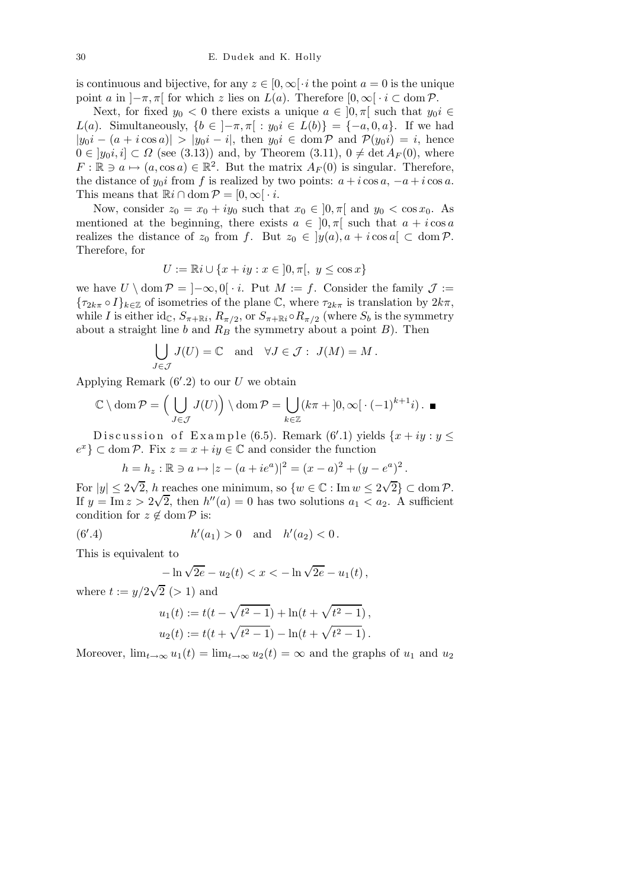is continuous and bijective, for any  $z \in [0,\infty] \cdot i$  the point  $a = 0$  is the unique point a in  $\left[-\pi, \pi\right]$  for which z lies on  $L(a)$ . Therefore  $[0, \infty] \cdot i \subset \text{dom } \mathcal{P}$ .

Next, for fixed  $y_0 < 0$  there exists a unique  $a \in [0, \pi]$  such that  $y_0 i \in$ L(a). Simultaneously,  ${b \in ]-\pi,\pi| : y_0i \in L(b)} = {-a,0,a}.$  If we had  $|y_0i - (a + i \cos a)| > |y_0i - i|$ , then  $y_0i \in \text{dom } \mathcal{P}$  and  $\mathcal{P}(y_0i) = i$ , hence  $0 \in [y_0i, i] \subset \Omega$  (see (3.13)) and, by Theorem (3.11),  $0 \neq \det A_F(0)$ , where  $F : \mathbb{R} \ni a \mapsto (a, \cos a) \in \mathbb{R}^2$ . But the matrix  $A_F(0)$  is singular. Therefore, the distance of  $y_0i$  from f is realized by two points:  $a + i \cos a$ ,  $-a + i \cos a$ . This means that  $\mathbb{R}i \cap \text{dom } \mathcal{P} = [0, \infty] \cdot i$ .

Now, consider  $z_0 = x_0 + iy_0$  such that  $x_0 \in ]0, \pi[$  and  $y_0 < \cos x_0$ . As mentioned at the beginning, there exists  $a \in [0, \pi]$  such that  $a + i \cos a$ realizes the distance of  $z_0$  from f. But  $z_0 \in [y(a), a + i \cos a] \subset \text{dom } \mathcal{P}$ . Therefore, for

$$
U:=\mathbb{R}i\cup\{x+iy:x\in\mathopen{]}0,\pi\mathclose{[},\ y\leq\cos x\}
$$

we have  $U \setminus \text{dom } \mathcal{P} = ]-\infty, 0[ \cdot i. \text{ Put } M := f. \text{ Consider the family } \mathcal{J} :=$  ${\tau_{2k\pi} \circ I}_{k\in\mathbb{Z}}$  of isometries of the plane C, where  ${\tau_{2k\pi}}$  is translation by  $2k\pi$ , while I is either id<sub>C</sub>,  $S_{\pi + \mathbb{R}i}$ ,  $R_{\pi/2}$ , or  $S_{\pi + \mathbb{R}i} \circ R_{\pi/2}$  (where  $S_b$  is the symmetry about a straight line b and  $R_B$  the symmetry about a point B). Then

$$
\bigcup_{J \in \mathcal{J}} J(U) = \mathbb{C} \text{ and } \forall J \in \mathcal{J}: J(M) = M.
$$

Applying Remark  $(6'.2)$  to our U we obtain

$$
\mathbb{C} \setminus \text{dom}\,\mathcal{P} = \left(\bigcup_{J \in \mathcal{J}} J(U)\right) \setminus \text{dom}\,\mathcal{P} = \bigcup_{k \in \mathbb{Z}} (k\pi + [0, \infty[ \cdot (-1)^{k+1} i) . \blacksquare
$$

Discussion of Example (6.5). Remark (6'.1) yields  $\{x+iy: y \leq$  $e^x$   $\}$   $\subset$  dom  $P$ . Fix  $z = x + iy \in \mathbb{C}$  and consider the function

$$
h = h_z : \mathbb{R} \ni a \mapsto |z - (a + ie^a)|^2 = (x - a)^2 + (y - e^a)^2
$$

.

For  $|y| \le 2\sqrt{2}$ , h reaches one minimum, so  $\{w \in \mathbb{C} : \text{Im } w \le 2\sqrt{2}\} \subset \text{dom } \mathcal{P}$ . If  $y = \text{Im } z > 2\sqrt{2}$ , then  $h''(a) = 0$  has two solutions  $a_1 < a_2$ . A sufficient condition for  $z \notin \text{dom } \mathcal{P}$  is:

(6'.4) 
$$
h'(a_1) > 0
$$
 and  $h'(a_2) < 0$ .

This is equivalent to

$$
-\ln\sqrt{2e} - u_2(t) < x < -\ln\sqrt{2e} - u_1(t) \,,
$$

where  $t := y/2\sqrt{2}$  (> 1) and

$$
u_1(t) := t(t - \sqrt{t^2 - 1}) + \ln(t + \sqrt{t^2 - 1}),
$$
  

$$
u_2(t) := t(t + \sqrt{t^2 - 1}) - \ln(t + \sqrt{t^2 - 1}).
$$

Moreover,  $\lim_{t\to\infty}u_1(t) = \lim_{t\to\infty}u_2(t) = \infty$  and the graphs of  $u_1$  and  $u_2$